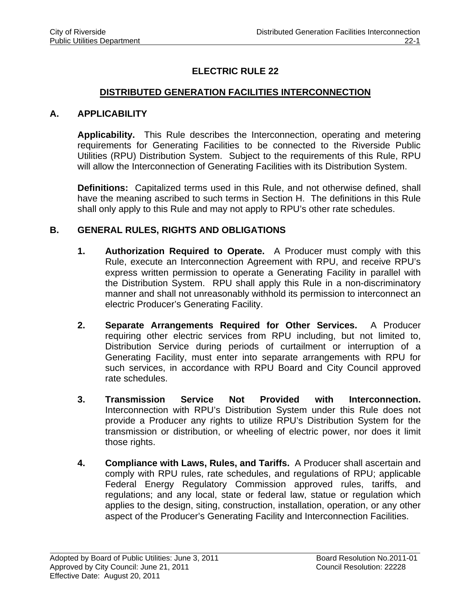## **ELECTRIC RULE 22**

### **DISTRIBUTED GENERATION FACILITIES INTERCONNECTION**

### **A. APPLICABILITY**

**Applicability.** This Rule describes the Interconnection, operating and metering requirements for Generating Facilities to be connected to the Riverside Public Utilities (RPU) Distribution System. Subject to the requirements of this Rule, RPU will allow the Interconnection of Generating Facilities with its Distribution System.

**Definitions:** Capitalized terms used in this Rule, and not otherwise defined, shall have the meaning ascribed to such terms in Section H. The definitions in this Rule shall only apply to this Rule and may not apply to RPU's other rate schedules.

### **B. GENERAL RULES, RIGHTS AND OBLIGATIONS**

- **1. Authorization Required to Operate.** A Producer must comply with this Rule, execute an Interconnection Agreement with RPU, and receive RPU's express written permission to operate a Generating Facility in parallel with the Distribution System. RPU shall apply this Rule in a non-discriminatory manner and shall not unreasonably withhold its permission to interconnect an electric Producer's Generating Facility.
- **2. Separate Arrangements Required for Other Services.** A Producer requiring other electric services from RPU including, but not limited to, Distribution Service during periods of curtailment or interruption of a Generating Facility, must enter into separate arrangements with RPU for such services, in accordance with RPU Board and City Council approved rate schedules.
- **3. Transmission Service Not Provided with Interconnection.** Interconnection with RPU's Distribution System under this Rule does not provide a Producer any rights to utilize RPU's Distribution System for the transmission or distribution, or wheeling of electric power, nor does it limit those rights.
- **4. Compliance with Laws, Rules, and Tariffs.** A Producer shall ascertain and comply with RPU rules, rate schedules, and regulations of RPU; applicable Federal Energy Regulatory Commission approved rules, tariffs, and regulations; and any local, state or federal law, statue or regulation which applies to the design, siting, construction, installation, operation, or any other aspect of the Producer's Generating Facility and Interconnection Facilities.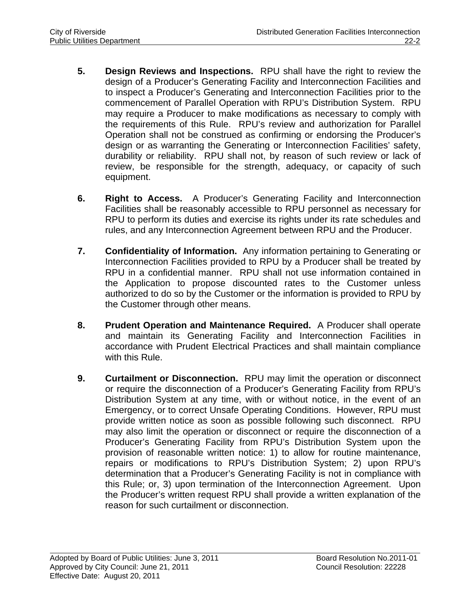- **5. Design Reviews and Inspections.** RPU shall have the right to review the design of a Producer's Generating Facility and Interconnection Facilities and to inspect a Producer's Generating and Interconnection Facilities prior to the commencement of Parallel Operation with RPU's Distribution System. RPU may require a Producer to make modifications as necessary to comply with the requirements of this Rule. RPU's review and authorization for Parallel Operation shall not be construed as confirming or endorsing the Producer's design or as warranting the Generating or Interconnection Facilities' safety, durability or reliability. RPU shall not, by reason of such review or lack of review, be responsible for the strength, adequacy, or capacity of such equipment.
- **6. Right to Access.** A Producer's Generating Facility and Interconnection Facilities shall be reasonably accessible to RPU personnel as necessary for RPU to perform its duties and exercise its rights under its rate schedules and rules, and any Interconnection Agreement between RPU and the Producer.
- **7. Confidentiality of Information.** Any information pertaining to Generating or Interconnection Facilities provided to RPU by a Producer shall be treated by RPU in a confidential manner. RPU shall not use information contained in the Application to propose discounted rates to the Customer unless authorized to do so by the Customer or the information is provided to RPU by the Customer through other means.
- **8. Prudent Operation and Maintenance Required.** A Producer shall operate and maintain its Generating Facility and Interconnection Facilities in accordance with Prudent Electrical Practices and shall maintain compliance with this Rule.
- **9. Curtailment or Disconnection.** RPU may limit the operation or disconnect or require the disconnection of a Producer's Generating Facility from RPU's Distribution System at any time, with or without notice, in the event of an Emergency, or to correct Unsafe Operating Conditions. However, RPU must provide written notice as soon as possible following such disconnect. RPU may also limit the operation or disconnect or require the disconnection of a Producer's Generating Facility from RPU's Distribution System upon the provision of reasonable written notice: 1) to allow for routine maintenance, repairs or modifications to RPU's Distribution System; 2) upon RPU's determination that a Producer's Generating Facility is not in compliance with this Rule; or, 3) upon termination of the Interconnection Agreement. Upon the Producer's written request RPU shall provide a written explanation of the reason for such curtailment or disconnection.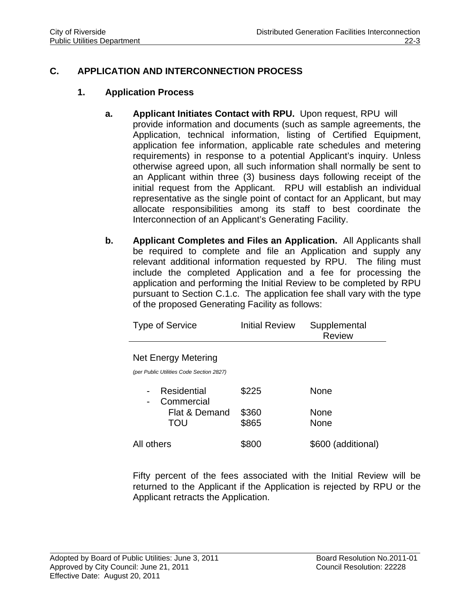### **C. APPLICATION AND INTERCONNECTION PROCESS**

### **1. Application Process**

- **a. Applicant Initiates Contact with RPU.** Upon request, RPU will provide information and documents (such as sample agreements, the Application, technical information, listing of Certified Equipment, application fee information, applicable rate schedules and metering requirements) in response to a potential Applicant's inquiry. Unless otherwise agreed upon, all such information shall normally be sent to an Applicant within three (3) business days following receipt of the initial request from the Applicant. RPU will establish an individual representative as the single point of contact for an Applicant, but may allocate responsibilities among its staff to best coordinate the Interconnection of an Applicant's Generating Facility.
- **b. Applicant Completes and Files an Application.** All Applicants shall be required to complete and file an Application and supply any relevant additional information requested by RPU. The filing must include the completed Application and a fee for processing the application and performing the Initial Review to be completed by RPU pursuant to Section C.1.c. The application fee shall vary with the type of the proposed Generating Facility as follows:

| <b>Type of Service</b>                                          | <b>Initial Review</b>   | Supplemental<br><b>Review</b> |  |  |
|-----------------------------------------------------------------|-------------------------|-------------------------------|--|--|
| Net Energy Metering<br>(per Public Utilities Code Section 2827) |                         |                               |  |  |
| Residential<br>Commercial<br>Flat & Demand<br>TOU               | \$225<br>\$360<br>\$865 | None<br>None<br>None          |  |  |
| All others                                                      | \$800                   | \$600 (additional)            |  |  |

 Fifty percent of the fees associated with the Initial Review will be returned to the Applicant if the Application is rejected by RPU or the Applicant retracts the Application.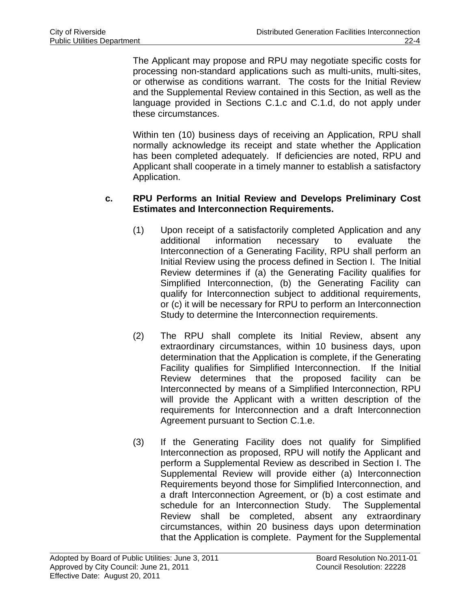The Applicant may propose and RPU may negotiate specific costs for processing non-standard applications such as multi-units, multi-sites, or otherwise as conditions warrant. The costs for the Initial Review and the Supplemental Review contained in this Section, as well as the language provided in Sections C.1.c and C.1.d, do not apply under these circumstances.

 Within ten (10) business days of receiving an Application, RPU shall normally acknowledge its receipt and state whether the Application has been completed adequately. If deficiencies are noted, RPU and Applicant shall cooperate in a timely manner to establish a satisfactory Application.

### **c. RPU Performs an Initial Review and Develops Preliminary Cost Estimates and Interconnection Requirements.**

- (1) Upon receipt of a satisfactorily completed Application and any additional information necessary to evaluate the Interconnection of a Generating Facility, RPU shall perform an Initial Review using the process defined in Section I. The Initial Review determines if (a) the Generating Facility qualifies for Simplified Interconnection, (b) the Generating Facility can qualify for Interconnection subject to additional requirements, or (c) it will be necessary for RPU to perform an Interconnection Study to determine the Interconnection requirements.
- (2) The RPU shall complete its Initial Review, absent any extraordinary circumstances, within 10 business days, upon determination that the Application is complete, if the Generating Facility qualifies for Simplified Interconnection. If the Initial Review determines that the proposed facility can be Interconnected by means of a Simplified Interconnection, RPU will provide the Applicant with a written description of the requirements for Interconnection and a draft Interconnection Agreement pursuant to Section C.1.e.
- (3) If the Generating Facility does not qualify for Simplified Interconnection as proposed, RPU will notify the Applicant and perform a Supplemental Review as described in Section I. The Supplemental Review will provide either (a) Interconnection Requirements beyond those for Simplified Interconnection, and a draft Interconnection Agreement, or (b) a cost estimate and schedule for an Interconnection Study. The Supplemental Review shall be completed, absent any extraordinary circumstances, within 20 business days upon determination that the Application is complete. Payment for the Supplemental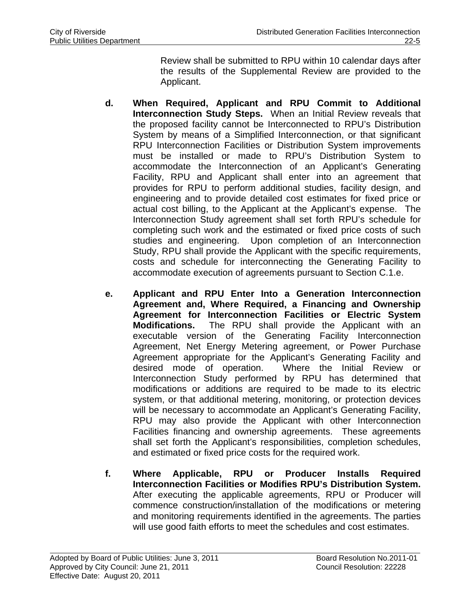Review shall be submitted to RPU within 10 calendar days after the results of the Supplemental Review are provided to the Applicant.

- **d. When Required, Applicant and RPU Commit to Additional Interconnection Study Steps.** When an Initial Review reveals that the proposed facility cannot be Interconnected to RPU's Distribution System by means of a Simplified Interconnection, or that significant RPU Interconnection Facilities or Distribution System improvements must be installed or made to RPU's Distribution System to accommodate the Interconnection of an Applicant's Generating Facility, RPU and Applicant shall enter into an agreement that provides for RPU to perform additional studies, facility design, and engineering and to provide detailed cost estimates for fixed price or actual cost billing, to the Applicant at the Applicant's expense. The Interconnection Study agreement shall set forth RPU's schedule for completing such work and the estimated or fixed price costs of such studies and engineering. Upon completion of an Interconnection Study, RPU shall provide the Applicant with the specific requirements, costs and schedule for interconnecting the Generating Facility to accommodate execution of agreements pursuant to Section C.1.e.
- **e. Applicant and RPU Enter Into a Generation Interconnection Agreement and, Where Required, a Financing and Ownership Agreement for Interconnection Facilities or Electric System Modifications.** The RPU shall provide the Applicant with an executable version of the Generating Facility Interconnection Agreement, Net Energy Metering agreement, or Power Purchase Agreement appropriate for the Applicant's Generating Facility and desired mode of operation. Where the Initial Review or Interconnection Study performed by RPU has determined that modifications or additions are required to be made to its electric system, or that additional metering, monitoring, or protection devices will be necessary to accommodate an Applicant's Generating Facility, RPU may also provide the Applicant with other Interconnection Facilities financing and ownership agreements. These agreements shall set forth the Applicant's responsibilities, completion schedules, and estimated or fixed price costs for the required work.
- **f. Where Applicable, RPU or Producer Installs Required Interconnection Facilities or Modifies RPU's Distribution System.** After executing the applicable agreements, RPU or Producer will commence construction/installation of the modifications or metering and monitoring requirements identified in the agreements. The parties will use good faith efforts to meet the schedules and cost estimates.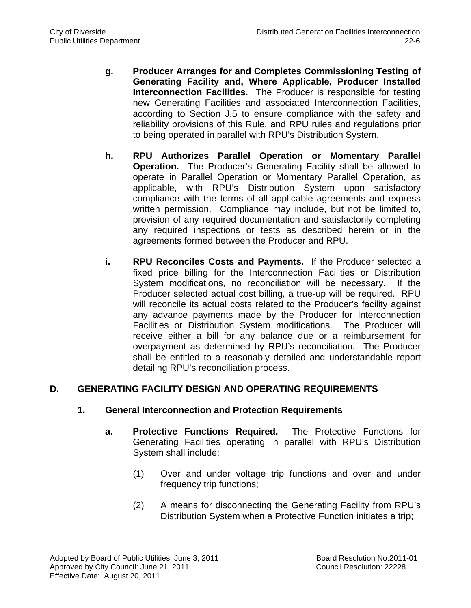- **g. Producer Arranges for and Completes Commissioning Testing of Generating Facility and, Where Applicable, Producer Installed Interconnection Facilities.** The Producer is responsible for testing new Generating Facilities and associated Interconnection Facilities, according to Section J.5 to ensure compliance with the safety and reliability provisions of this Rule, and RPU rules and regulations prior to being operated in parallel with RPU's Distribution System.
- **h. RPU Authorizes Parallel Operation or Momentary Parallel Operation.** The Producer's Generating Facility shall be allowed to operate in Parallel Operation or Momentary Parallel Operation, as applicable, with RPU's Distribution System upon satisfactory compliance with the terms of all applicable agreements and express written permission. Compliance may include, but not be limited to, provision of any required documentation and satisfactorily completing any required inspections or tests as described herein or in the agreements formed between the Producer and RPU.
- **i. RPU Reconciles Costs and Payments.** If the Producer selected a fixed price billing for the Interconnection Facilities or Distribution System modifications, no reconciliation will be necessary. If the Producer selected actual cost billing, a true-up will be required. RPU will reconcile its actual costs related to the Producer's facility against any advance payments made by the Producer for Interconnection Facilities or Distribution System modifications. The Producer will receive either a bill for any balance due or a reimbursement for overpayment as determined by RPU's reconciliation. The Producer shall be entitled to a reasonably detailed and understandable report detailing RPU's reconciliation process.

### **D. GENERATING FACILITY DESIGN AND OPERATING REQUIREMENTS**

### **1. General Interconnection and Protection Requirements**

- **a. Protective Functions Required.** The Protective Functions for Generating Facilities operating in parallel with RPU's Distribution System shall include:
	- (1) Over and under voltage trip functions and over and under frequency trip functions;
	- (2) A means for disconnecting the Generating Facility from RPU's Distribution System when a Protective Function initiates a trip;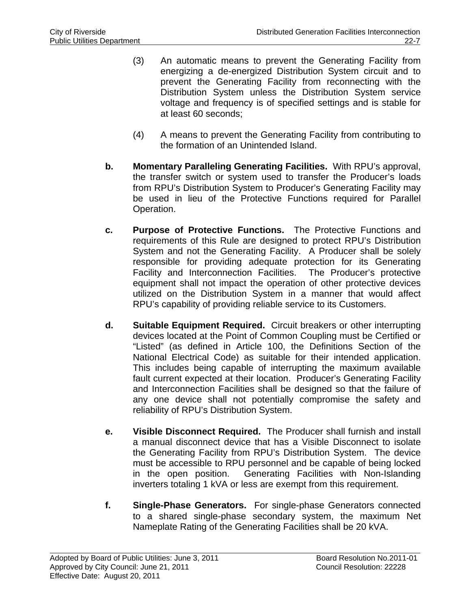- (3) An automatic means to prevent the Generating Facility from energizing a de-energized Distribution System circuit and to prevent the Generating Facility from reconnecting with the Distribution System unless the Distribution System service voltage and frequency is of specified settings and is stable for at least 60 seconds;
- (4) A means to prevent the Generating Facility from contributing to the formation of an Unintended Island.
- **b. Momentary Paralleling Generating Facilities.** With RPU's approval, the transfer switch or system used to transfer the Producer's loads from RPU's Distribution System to Producer's Generating Facility may be used in lieu of the Protective Functions required for Parallel Operation.
- **c. Purpose of Protective Functions.** The Protective Functions and requirements of this Rule are designed to protect RPU's Distribution System and not the Generating Facility. A Producer shall be solely responsible for providing adequate protection for its Generating Facility and Interconnection Facilities. The Producer's protective equipment shall not impact the operation of other protective devices utilized on the Distribution System in a manner that would affect RPU's capability of providing reliable service to its Customers.
- **d. Suitable Equipment Required.** Circuit breakers or other interrupting devices located at the Point of Common Coupling must be Certified or "Listed" (as defined in Article 100, the Definitions Section of the National Electrical Code) as suitable for their intended application. This includes being capable of interrupting the maximum available fault current expected at their location. Producer's Generating Facility and Interconnection Facilities shall be designed so that the failure of any one device shall not potentially compromise the safety and reliability of RPU's Distribution System.
- **e. Visible Disconnect Required.** The Producer shall furnish and install a manual disconnect device that has a Visible Disconnect to isolate the Generating Facility from RPU's Distribution System. The device must be accessible to RPU personnel and be capable of being locked in the open position. Generating Facilities with Non-Islanding inverters totaling 1 kVA or less are exempt from this requirement.
- **f. Single-Phase Generators.** For single-phase Generators connected to a shared single-phase secondary system, the maximum Net Nameplate Rating of the Generating Facilities shall be 20 kVA.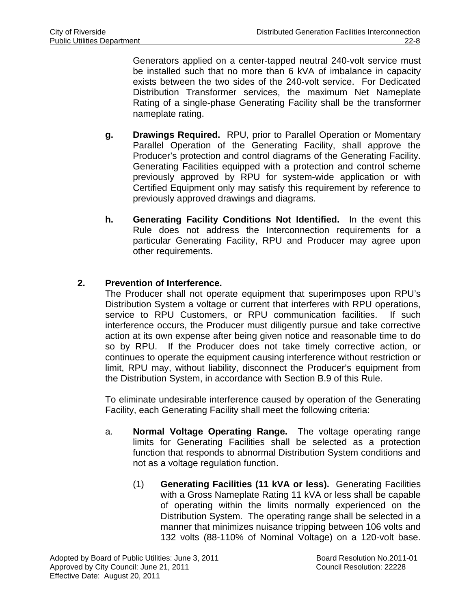Generators applied on a center-tapped neutral 240-volt service must be installed such that no more than 6 kVA of imbalance in capacity exists between the two sides of the 240-volt service. For Dedicated Distribution Transformer services, the maximum Net Nameplate Rating of a single-phase Generating Facility shall be the transformer nameplate rating.

- **g. Drawings Required.** RPU, prior to Parallel Operation or Momentary Parallel Operation of the Generating Facility, shall approve the Producer's protection and control diagrams of the Generating Facility. Generating Facilities equipped with a protection and control scheme previously approved by RPU for system-wide application or with Certified Equipment only may satisfy this requirement by reference to previously approved drawings and diagrams.
- **h. Generating Facility Conditions Not Identified.** In the event this Rule does not address the Interconnection requirements for a particular Generating Facility, RPU and Producer may agree upon other requirements.

### **2. Prevention of Interference.**

The Producer shall not operate equipment that superimposes upon RPU's Distribution System a voltage or current that interferes with RPU operations, service to RPU Customers, or RPU communication facilities. If such interference occurs, the Producer must diligently pursue and take corrective action at its own expense after being given notice and reasonable time to do so by RPU. If the Producer does not take timely corrective action, or continues to operate the equipment causing interference without restriction or limit, RPU may, without liability, disconnect the Producer's equipment from the Distribution System, in accordance with Section B.9 of this Rule.

To eliminate undesirable interference caused by operation of the Generating Facility, each Generating Facility shall meet the following criteria:

- a. **Normal Voltage Operating Range.** The voltage operating range limits for Generating Facilities shall be selected as a protection function that responds to abnormal Distribution System conditions and not as a voltage regulation function.
	- (1) **Generating Facilities (11 kVA or less).** Generating Facilities with a Gross Nameplate Rating 11 kVA or less shall be capable of operating within the limits normally experienced on the Distribution System. The operating range shall be selected in a manner that minimizes nuisance tripping between 106 volts and 132 volts (88-110% of Nominal Voltage) on a 120-volt base.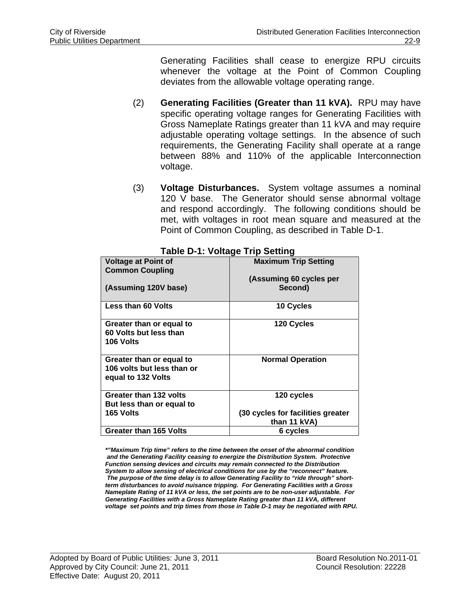Generating Facilities shall cease to energize RPU circuits whenever the voltage at the Point of Common Coupling deviates from the allowable voltage operating range.

- (2) **Generating Facilities (Greater than 11 kVA).** RPU may have specific operating voltage ranges for Generating Facilities with Gross Nameplate Ratings greater than 11 kVA and may require adjustable operating voltage settings. In the absence of such requirements, the Generating Facility shall operate at a range between 88% and 110% of the applicable Interconnection voltage.
- (3) **Voltage Disturbances.** System voltage assumes a nominal 120 V base. The Generator should sense abnormal voltage and respond accordingly. The following conditions should be met, with voltages in root mean square and measured at the Point of Common Coupling, as described in Table D-1.

| <b>Voltage at Point of</b> | <b>Maximum Trip Setting</b>       |
|----------------------------|-----------------------------------|
| <b>Common Coupling</b>     |                                   |
|                            | (Assuming 60 cycles per           |
| (Assuming 120V base)       | Second)                           |
|                            |                                   |
| Less than 60 Volts         | 10 Cycles                         |
|                            |                                   |
| Greater than or equal to   | 120 Cycles                        |
| 60 Volts but less than     |                                   |
| 106 Volts                  |                                   |
|                            |                                   |
| Greater than or equal to   | <b>Normal Operation</b>           |
| 106 volts but less than or |                                   |
| equal to 132 Volts         |                                   |
|                            |                                   |
| Greater than 132 volts     | 120 cycles                        |
| But less than or equal to  |                                   |
| 165 Volts                  | (30 cycles for facilities greater |
|                            | than 11 kVA)                      |
| Greater than 165 Volts     | 6 cycles                          |

### **Table D-1: Voltage Trip Setting**

*\*"Maximum Trip time" refers to the time between the onset of the abnormal condition and the Generating Facility ceasing to energize the Distribution System. Protective Function sensing devices and circuits may remain connected to the Distribution System to allow sensing of electrical conditions for use by the "reconnect" feature. The purpose of the time delay is to allow Generating Facility to "ride through" shortterm disturbances to avoid nuisance tripping. For Generating Facilities with a Gross Nameplate Rating of 11 kVA or less, the set points are to be non-user adjustable. For Generating Facilities with a Gross Nameplate Rating greater than 11 kVA, different voltage set points and trip times from those in Table D-1 may be negotiated with RPU.*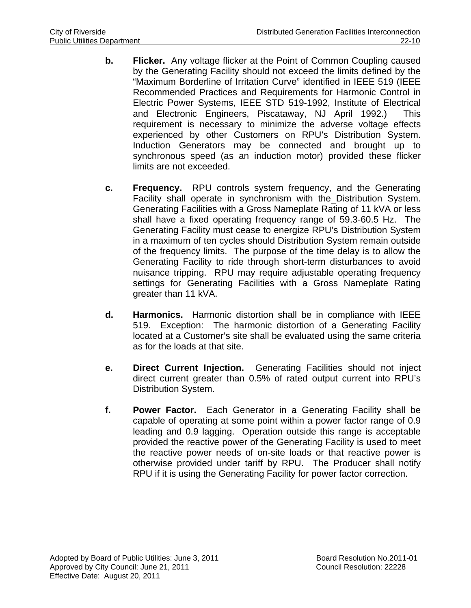- **b.** Flicker. Any voltage flicker at the Point of Common Coupling caused by the Generating Facility should not exceed the limits defined by the "Maximum Borderline of Irritation Curve" identified in IEEE 519 (IEEE Recommended Practices and Requirements for Harmonic Control in Electric Power Systems, IEEE STD 519-1992, Institute of Electrical and Electronic Engineers, Piscataway, NJ April 1992.) This requirement is necessary to minimize the adverse voltage effects experienced by other Customers on RPU's Distribution System. Induction Generators may be connected and brought up to synchronous speed (as an induction motor) provided these flicker limits are not exceeded.
- **c. Frequency.** RPU controls system frequency, and the Generating Facility shall operate in synchronism with the Distribution System. Generating Facilities with a Gross Nameplate Rating of 11 kVA or less shall have a fixed operating frequency range of 59.3-60.5 Hz. The Generating Facility must cease to energize RPU's Distribution System in a maximum of ten cycles should Distribution System remain outside of the frequency limits. The purpose of the time delay is to allow the Generating Facility to ride through short-term disturbances to avoid nuisance tripping. RPU may require adjustable operating frequency settings for Generating Facilities with a Gross Nameplate Rating greater than 11 kVA.
- **d. Harmonics.** Harmonic distortion shall be in compliance with IEEE 519. Exception: The harmonic distortion of a Generating Facility located at a Customer's site shall be evaluated using the same criteria as for the loads at that site.
- **e. Direct Current Injection.** Generating Facilities should not inject direct current greater than 0.5% of rated output current into RPU's Distribution System.
- **f. Power Factor.** Each Generator in a Generating Facility shall be capable of operating at some point within a power factor range of 0.9 leading and 0.9 lagging. Operation outside this range is acceptable provided the reactive power of the Generating Facility is used to meet the reactive power needs of on-site loads or that reactive power is otherwise provided under tariff by RPU. The Producer shall notify RPU if it is using the Generating Facility for power factor correction.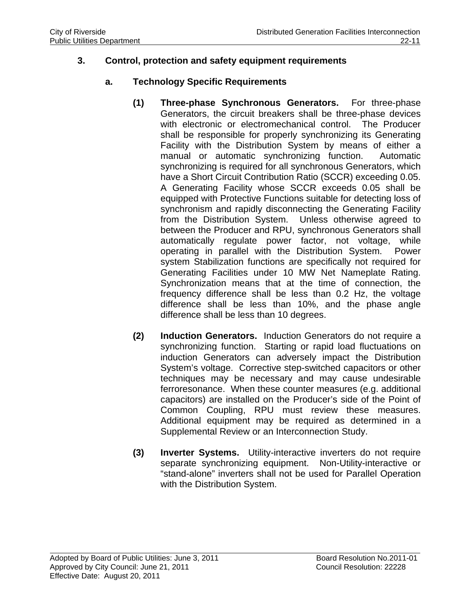### **3. Control, protection and safety equipment requirements**

### **a. Technology Specific Requirements**

- **(1) Three-phase Synchronous Generators.** For three-phase Generators, the circuit breakers shall be three-phase devices with electronic or electromechanical control. The Producer shall be responsible for properly synchronizing its Generating Facility with the Distribution System by means of either a manual or automatic synchronizing function. Automatic synchronizing is required for all synchronous Generators, which have a Short Circuit Contribution Ratio (SCCR) exceeding 0.05. A Generating Facility whose SCCR exceeds 0.05 shall be equipped with Protective Functions suitable for detecting loss of synchronism and rapidly disconnecting the Generating Facility from the Distribution System. Unless otherwise agreed to between the Producer and RPU, synchronous Generators shall automatically regulate power factor, not voltage, while operating in parallel with the Distribution System. Power system Stabilization functions are specifically not required for Generating Facilities under 10 MW Net Nameplate Rating. Synchronization means that at the time of connection, the frequency difference shall be less than 0.2 Hz, the voltage difference shall be less than 10%, and the phase angle difference shall be less than 10 degrees.
- **(2) Induction Generators.** Induction Generators do not require a synchronizing function. Starting or rapid load fluctuations on induction Generators can adversely impact the Distribution System's voltage. Corrective step-switched capacitors or other techniques may be necessary and may cause undesirable ferroresonance. When these counter measures (e.g. additional capacitors) are installed on the Producer's side of the Point of Common Coupling, RPU must review these measures. Additional equipment may be required as determined in a Supplemental Review or an Interconnection Study.
- **(3) Inverter Systems.** Utility-interactive inverters do not require separate synchronizing equipment. Non-Utility-interactive or "stand-alone" inverters shall not be used for Parallel Operation with the Distribution System.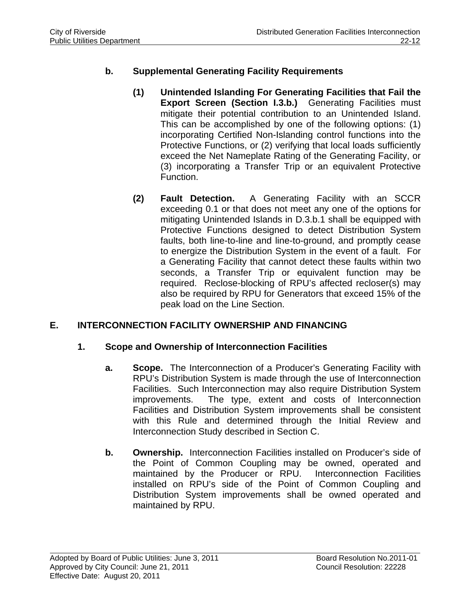### **b. Supplemental Generating Facility Requirements**

- **(1) Unintended Islanding For Generating Facilities that Fail the Export Screen (Section I.3.b.)** Generating Facilities must mitigate their potential contribution to an Unintended Island. This can be accomplished by one of the following options: (1) incorporating Certified Non-Islanding control functions into the Protective Functions, or (2) verifying that local loads sufficiently exceed the Net Nameplate Rating of the Generating Facility, or (3) incorporating a Transfer Trip or an equivalent Protective Function.
- **(2) Fault Detection.** A Generating Facility with an SCCR exceeding 0.1 or that does not meet any one of the options for mitigating Unintended Islands in D.3.b.1 shall be equipped with Protective Functions designed to detect Distribution System faults, both line-to-line and line-to-ground, and promptly cease to energize the Distribution System in the event of a fault. For a Generating Facility that cannot detect these faults within two seconds, a Transfer Trip or equivalent function may be required. Reclose-blocking of RPU's affected recloser(s) may also be required by RPU for Generators that exceed 15% of the peak load on the Line Section.

### **E. INTERCONNECTION FACILITY OWNERSHIP AND FINANCING**

### **1. Scope and Ownership of Interconnection Facilities**

- **a. Scope.** The Interconnection of a Producer's Generating Facility with RPU's Distribution System is made through the use of Interconnection Facilities. Such Interconnection may also require Distribution System improvements. The type, extent and costs of Interconnection Facilities and Distribution System improvements shall be consistent with this Rule and determined through the Initial Review and Interconnection Study described in Section C.
- **b.** Ownership. Interconnection Facilities installed on Producer's side of the Point of Common Coupling may be owned, operated and maintained by the Producer or RPU. Interconnection Facilities installed on RPU's side of the Point of Common Coupling and Distribution System improvements shall be owned operated and maintained by RPU.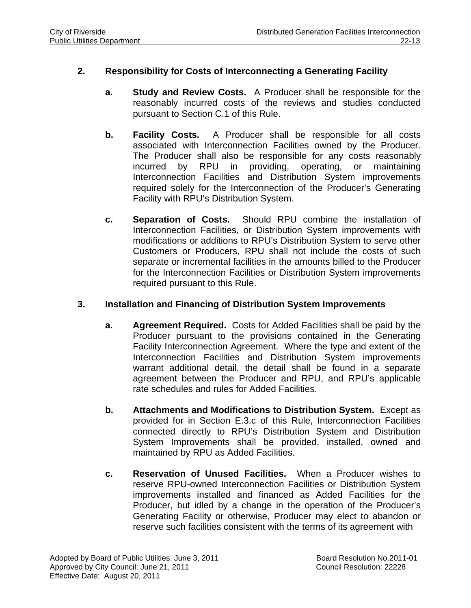### **2. Responsibility for Costs of Interconnecting a Generating Facility**

- **a. Study and Review Costs.** A Producer shall be responsible for the reasonably incurred costs of the reviews and studies conducted pursuant to Section C.1 of this Rule.
- **b. Facility Costs.** A Producer shall be responsible for all costs associated with Interconnection Facilities owned by the Producer. The Producer shall also be responsible for any costs reasonably incurred by RPU in providing, operating, or maintaining Interconnection Facilities and Distribution System improvements required solely for the Interconnection of the Producer's Generating Facility with RPU's Distribution System.
- **c. Separation of Costs.** Should RPU combine the installation of Interconnection Facilities, or Distribution System improvements with modifications or additions to RPU's Distribution System to serve other Customers or Producers, RPU shall not include the costs of such separate or incremental facilities in the amounts billed to the Producer for the Interconnection Facilities or Distribution System improvements required pursuant to this Rule.

### **3. Installation and Financing of Distribution System Improvements**

- **a. Agreement Required.** Costs for Added Facilities shall be paid by the Producer pursuant to the provisions contained in the Generating Facility Interconnection Agreement. Where the type and extent of the Interconnection Facilities and Distribution System improvements warrant additional detail, the detail shall be found in a separate agreement between the Producer and RPU, and RPU's applicable rate schedules and rules for Added Facilities.
- **b. Attachments and Modifications to Distribution System.** Except as provided for in Section E.3.c of this Rule, Interconnection Facilities connected directly to RPU's Distribution System and Distribution System Improvements shall be provided, installed, owned and maintained by RPU as Added Facilities.
- **c. Reservation of Unused Facilities.** When a Producer wishes to reserve RPU-owned Interconnection Facilities or Distribution System improvements installed and financed as Added Facilities for the Producer, but idled by a change in the operation of the Producer's Generating Facility or otherwise, Producer may elect to abandon or reserve such facilities consistent with the terms of its agreement with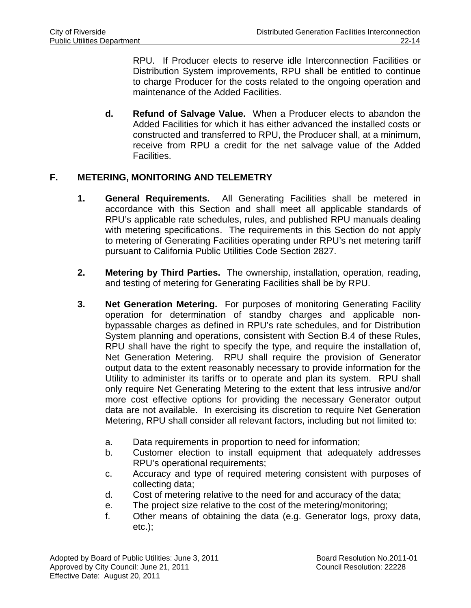RPU. If Producer elects to reserve idle Interconnection Facilities or Distribution System improvements, RPU shall be entitled to continue to charge Producer for the costs related to the ongoing operation and maintenance of the Added Facilities.

**d. Refund of Salvage Value.** When a Producer elects to abandon the Added Facilities for which it has either advanced the installed costs or constructed and transferred to RPU, the Producer shall, at a minimum, receive from RPU a credit for the net salvage value of the Added Facilities.

### **F. METERING, MONITORING AND TELEMETRY**

- **1. General Requirements.** All Generating Facilities shall be metered in accordance with this Section and shall meet all applicable standards of RPU's applicable rate schedules, rules, and published RPU manuals dealing with metering specifications. The requirements in this Section do not apply to metering of Generating Facilities operating under RPU's net metering tariff pursuant to California Public Utilities Code Section 2827.
- **2. Metering by Third Parties.** The ownership, installation, operation, reading, and testing of metering for Generating Facilities shall be by RPU.
- **3. Net Generation Metering.** For purposes of monitoring Generating Facility operation for determination of standby charges and applicable nonbypassable charges as defined in RPU's rate schedules, and for Distribution System planning and operations, consistent with Section B.4 of these Rules, RPU shall have the right to specify the type, and require the installation of, Net Generation Metering. RPU shall require the provision of Generator output data to the extent reasonably necessary to provide information for the Utility to administer its tariffs or to operate and plan its system. RPU shall only require Net Generating Metering to the extent that less intrusive and/or more cost effective options for providing the necessary Generator output data are not available. In exercising its discretion to require Net Generation Metering, RPU shall consider all relevant factors, including but not limited to:
	- a. Data requirements in proportion to need for information;
	- b. Customer election to install equipment that adequately addresses RPU's operational requirements;
	- c. Accuracy and type of required metering consistent with purposes of collecting data;
	- d. Cost of metering relative to the need for and accuracy of the data;
	- e. The project size relative to the cost of the metering/monitoring;
	- f. Other means of obtaining the data (e.g. Generator logs, proxy data, etc.);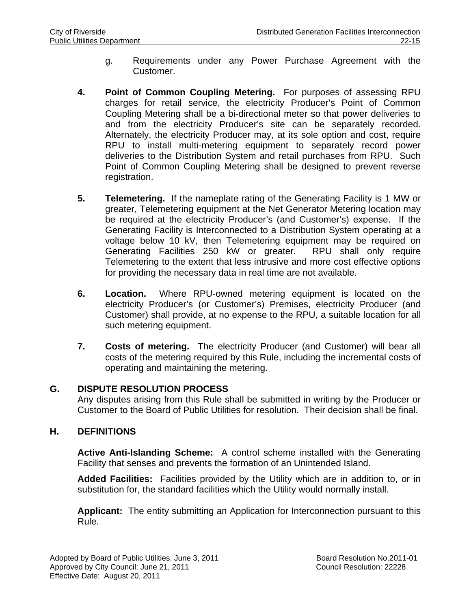- g. Requirements under any Power Purchase Agreement with the Customer.
- **4. Point of Common Coupling Metering.** For purposes of assessing RPU charges for retail service, the electricity Producer's Point of Common Coupling Metering shall be a bi-directional meter so that power deliveries to and from the electricity Producer's site can be separately recorded. Alternately, the electricity Producer may, at its sole option and cost, require RPU to install multi-metering equipment to separately record power deliveries to the Distribution System and retail purchases from RPU. Such Point of Common Coupling Metering shall be designed to prevent reverse registration.
- **5. Telemetering.** If the nameplate rating of the Generating Facility is 1 MW or greater, Telemetering equipment at the Net Generator Metering location may be required at the electricity Producer's (and Customer's) expense. If the Generating Facility is Interconnected to a Distribution System operating at a voltage below 10 kV, then Telemetering equipment may be required on Generating Facilities 250 kW or greater. RPU shall only require Telemetering to the extent that less intrusive and more cost effective options for providing the necessary data in real time are not available.
- **6. Location.** Where RPU-owned metering equipment is located on the electricity Producer's (or Customer's) Premises, electricity Producer (and Customer) shall provide, at no expense to the RPU, a suitable location for all such metering equipment.
- **7. Costs of metering.** The electricity Producer (and Customer) will bear all costs of the metering required by this Rule, including the incremental costs of operating and maintaining the metering.

### **G. DISPUTE RESOLUTION PROCESS**

Any disputes arising from this Rule shall be submitted in writing by the Producer or Customer to the Board of Public Utilities for resolution. Their decision shall be final.

### **H. DEFINITIONS**

 $\overline{a}$ 

**Active Anti-Islanding Scheme:** A control scheme installed with the Generating Facility that senses and prevents the formation of an Unintended Island.

**Added Facilities:** Facilities provided by the Utility which are in addition to, or in substitution for, the standard facilities which the Utility would normally install.

**Applicant:** The entity submitting an Application for Interconnection pursuant to this Rule.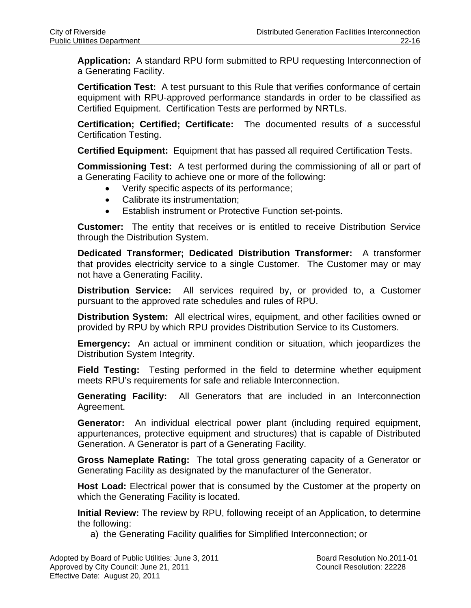**Application:** A standard RPU form submitted to RPU requesting Interconnection of a Generating Facility.

**Certification Test:** A test pursuant to this Rule that verifies conformance of certain equipment with RPU-approved performance standards in order to be classified as Certified Equipment. Certification Tests are performed by NRTLs.

**Certification; Certified; Certificate:** The documented results of a successful Certification Testing.

**Certified Equipment:** Equipment that has passed all required Certification Tests.

**Commissioning Test:** A test performed during the commissioning of all or part of a Generating Facility to achieve one or more of the following:

- Verify specific aspects of its performance;
- Calibrate its instrumentation;
- Establish instrument or Protective Function set-points.

**Customer:** The entity that receives or is entitled to receive Distribution Service through the Distribution System.

**Dedicated Transformer; Dedicated Distribution Transformer:** A transformer that provides electricity service to a single Customer. The Customer may or may not have a Generating Facility.

**Distribution Service:** All services required by, or provided to, a Customer pursuant to the approved rate schedules and rules of RPU.

**Distribution System:** All electrical wires, equipment, and other facilities owned or provided by RPU by which RPU provides Distribution Service to its Customers.

**Emergency:** An actual or imminent condition or situation, which jeopardizes the Distribution System Integrity.

**Field Testing:** Testing performed in the field to determine whether equipment meets RPU's requirements for safe and reliable Interconnection.

**Generating Facility:** All Generators that are included in an Interconnection Agreement.

**Generator:** An individual electrical power plant (including required equipment, appurtenances, protective equipment and structures) that is capable of Distributed Generation. A Generator is part of a Generating Facility.

**Gross Nameplate Rating:** The total gross generating capacity of a Generator or Generating Facility as designated by the manufacturer of the Generator.

**Host Load:** Electrical power that is consumed by the Customer at the property on which the Generating Facility is located.

**Initial Review:** The review by RPU, following receipt of an Application, to determine the following:

a) the Generating Facility qualifies for Simplified Interconnection; or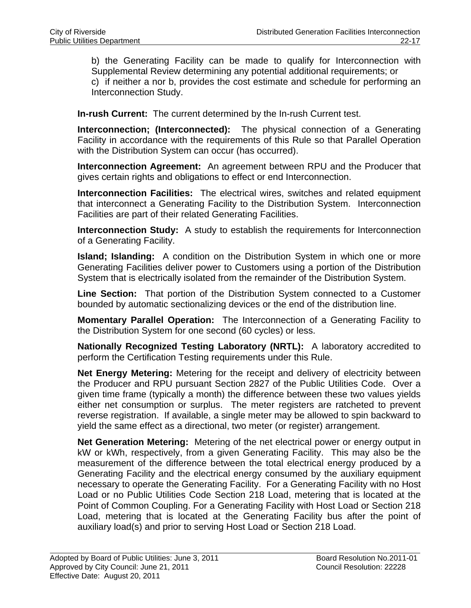b) the Generating Facility can be made to qualify for Interconnection with Supplemental Review determining any potential additional requirements; or

c) if neither a nor b, provides the cost estimate and schedule for performing an Interconnection Study.

**In-rush Current:** The current determined by the In-rush Current test.

**Interconnection; (Interconnected):** The physical connection of a Generating Facility in accordance with the requirements of this Rule so that Parallel Operation with the Distribution System can occur (has occurred).

**Interconnection Agreement:** An agreement between RPU and the Producer that gives certain rights and obligations to effect or end Interconnection.

**Interconnection Facilities:** The electrical wires, switches and related equipment that interconnect a Generating Facility to the Distribution System. Interconnection Facilities are part of their related Generating Facilities.

**Interconnection Study:** A study to establish the requirements for Interconnection of a Generating Facility.

**Island; Islanding:** A condition on the Distribution System in which one or more Generating Facilities deliver power to Customers using a portion of the Distribution System that is electrically isolated from the remainder of the Distribution System.

**Line Section:** That portion of the Distribution System connected to a Customer bounded by automatic sectionalizing devices or the end of the distribution line.

**Momentary Parallel Operation:** The Interconnection of a Generating Facility to the Distribution System for one second (60 cycles) or less.

**Nationally Recognized Testing Laboratory (NRTL):** A laboratory accredited to perform the Certification Testing requirements under this Rule.

**Net Energy Metering:** Metering for the receipt and delivery of electricity between the Producer and RPU pursuant Section 2827 of the Public Utilities Code. Over a given time frame (typically a month) the difference between these two values yields either net consumption or surplus. The meter registers are ratcheted to prevent reverse registration. If available, a single meter may be allowed to spin backward to yield the same effect as a directional, two meter (or register) arrangement.

**Net Generation Metering:** Metering of the net electrical power or energy output in kW or kWh, respectively, from a given Generating Facility. This may also be the measurement of the difference between the total electrical energy produced by a Generating Facility and the electrical energy consumed by the auxiliary equipment necessary to operate the Generating Facility. For a Generating Facility with no Host Load or no Public Utilities Code Section 218 Load, metering that is located at the Point of Common Coupling. For a Generating Facility with Host Load or Section 218 Load, metering that is located at the Generating Facility bus after the point of auxiliary load(s) and prior to serving Host Load or Section 218 Load.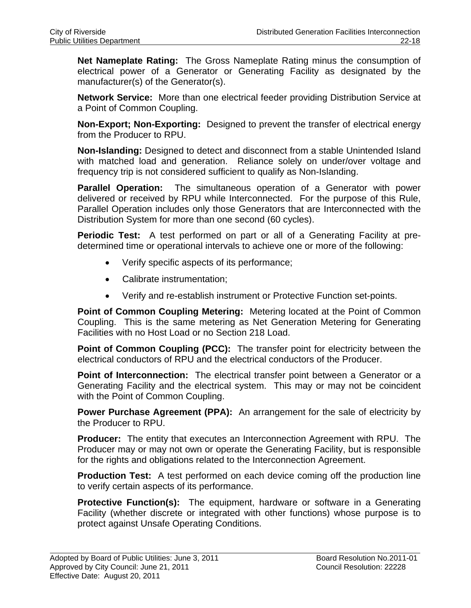**Net Nameplate Rating:** The Gross Nameplate Rating minus the consumption of electrical power of a Generator or Generating Facility as designated by the manufacturer(s) of the Generator(s).

**Network Service:** More than one electrical feeder providing Distribution Service at a Point of Common Coupling.

**Non-Export; Non-Exporting:** Designed to prevent the transfer of electrical energy from the Producer to RPU.

**Non-Islanding:** Designed to detect and disconnect from a stable Unintended Island with matched load and generation. Reliance solely on under/over voltage and frequency trip is not considered sufficient to qualify as Non-Islanding.

**Parallel Operation:** The simultaneous operation of a Generator with power delivered or received by RPU while Interconnected. For the purpose of this Rule, Parallel Operation includes only those Generators that are Interconnected with the Distribution System for more than one second (60 cycles).

**Periodic Test:** A test performed on part or all of a Generating Facility at predetermined time or operational intervals to achieve one or more of the following:

- Verify specific aspects of its performance;
- Calibrate instrumentation;
- Verify and re-establish instrument or Protective Function set-points.

**Point of Common Coupling Metering:** Metering located at the Point of Common Coupling. This is the same metering as Net Generation Metering for Generating Facilities with no Host Load or no Section 218 Load.

**Point of Common Coupling (PCC):** The transfer point for electricity between the electrical conductors of RPU and the electrical conductors of the Producer.

**Point of Interconnection:** The electrical transfer point between a Generator or a Generating Facility and the electrical system. This may or may not be coincident with the Point of Common Coupling.

**Power Purchase Agreement (PPA):** An arrangement for the sale of electricity by the Producer to RPU.

**Producer:** The entity that executes an Interconnection Agreement with RPU. The Producer may or may not own or operate the Generating Facility, but is responsible for the rights and obligations related to the Interconnection Agreement.

**Production Test:** A test performed on each device coming off the production line to verify certain aspects of its performance.

**Protective Function(s):** The equipment, hardware or software in a Generating Facility (whether discrete or integrated with other functions) whose purpose is to protect against Unsafe Operating Conditions.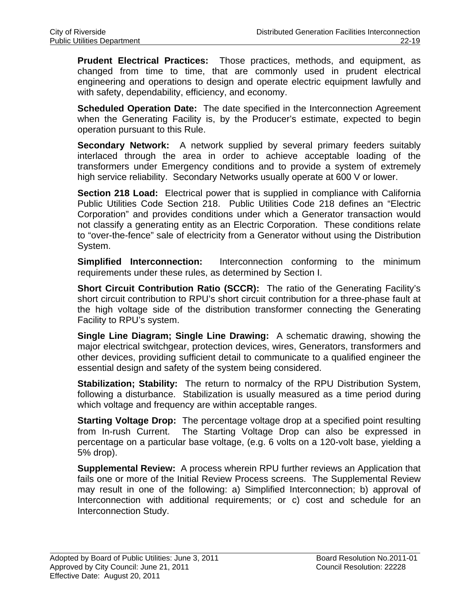**Prudent Electrical Practices:** Those practices, methods, and equipment, as changed from time to time, that are commonly used in prudent electrical engineering and operations to design and operate electric equipment lawfully and with safety, dependability, efficiency, and economy.

**Scheduled Operation Date:** The date specified in the Interconnection Agreement when the Generating Facility is, by the Producer's estimate, expected to begin operation pursuant to this Rule.

**Secondary Network:** A network supplied by several primary feeders suitably interlaced through the area in order to achieve acceptable loading of the transformers under Emergency conditions and to provide a system of extremely high service reliability. Secondary Networks usually operate at 600 V or lower.

**Section 218 Load:** Electrical power that is supplied in compliance with California Public Utilities Code Section 218. Public Utilities Code 218 defines an "Electric Corporation" and provides conditions under which a Generator transaction would not classify a generating entity as an Electric Corporation. These conditions relate to "over-the-fence" sale of electricity from a Generator without using the Distribution System.

**Simplified Interconnection:** Interconnection conforming to the minimum requirements under these rules, as determined by Section I.

**Short Circuit Contribution Ratio (SCCR):** The ratio of the Generating Facility's short circuit contribution to RPU's short circuit contribution for a three-phase fault at the high voltage side of the distribution transformer connecting the Generating Facility to RPU's system.

**Single Line Diagram; Single Line Drawing:** A schematic drawing, showing the major electrical switchgear, protection devices, wires, Generators, transformers and other devices, providing sufficient detail to communicate to a qualified engineer the essential design and safety of the system being considered.

**Stabilization; Stability:** The return to normalcy of the RPU Distribution System, following a disturbance. Stabilization is usually measured as a time period during which voltage and frequency are within acceptable ranges.

**Starting Voltage Drop:** The percentage voltage drop at a specified point resulting from In-rush Current. The Starting Voltage Drop can also be expressed in percentage on a particular base voltage, (e.g. 6 volts on a 120-volt base, yielding a 5% drop).

**Supplemental Review:** A process wherein RPU further reviews an Application that fails one or more of the Initial Review Process screens. The Supplemental Review may result in one of the following: a) Simplified Interconnection; b) approval of Interconnection with additional requirements; or c) cost and schedule for an Interconnection Study.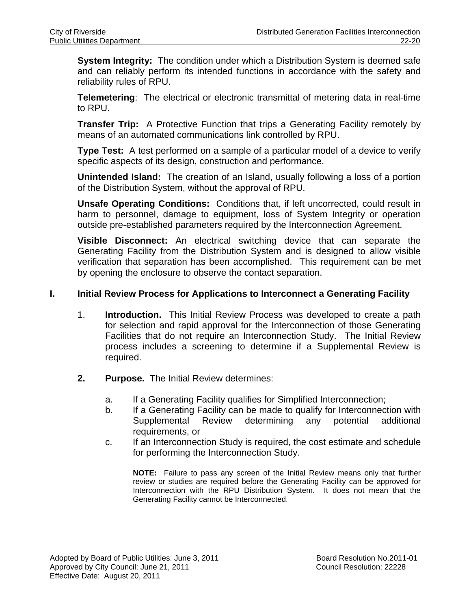**System Integrity:** The condition under which a Distribution System is deemed safe and can reliably perform its intended functions in accordance with the safety and reliability rules of RPU.

**Telemetering**: The electrical or electronic transmittal of metering data in real-time to RPU.

**Transfer Trip:** A Protective Function that trips a Generating Facility remotely by means of an automated communications link controlled by RPU.

**Type Test:** A test performed on a sample of a particular model of a device to verify specific aspects of its design, construction and performance.

**Unintended Island:** The creation of an Island, usually following a loss of a portion of the Distribution System, without the approval of RPU.

**Unsafe Operating Conditions:** Conditions that, if left uncorrected, could result in harm to personnel, damage to equipment, loss of System Integrity or operation outside pre-established parameters required by the Interconnection Agreement.

**Visible Disconnect:** An electrical switching device that can separate the Generating Facility from the Distribution System and is designed to allow visible verification that separation has been accomplished. This requirement can be met by opening the enclosure to observe the contact separation.

### **I. Initial Review Process for Applications to Interconnect a Generating Facility**

- 1. **Introduction.** This Initial Review Process was developed to create a path for selection and rapid approval for the Interconnection of those Generating Facilities that do not require an Interconnection Study. The Initial Review process includes a screening to determine if a Supplemental Review is required.
- **2. Purpose.** The Initial Review determines:
	- a. If a Generating Facility qualifies for Simplified Interconnection;
	- b. If a Generating Facility can be made to qualify for Interconnection with Supplemental Review determining any potential additional requirements, or
	- c. If an Interconnection Study is required, the cost estimate and schedule for performing the Interconnection Study.

**NOTE:** Failure to pass any screen of the Initial Review means only that further review or studies are required before the Generating Facility can be approved for Interconnection with the RPU Distribution System. It does not mean that the Generating Facility cannot be Interconnected.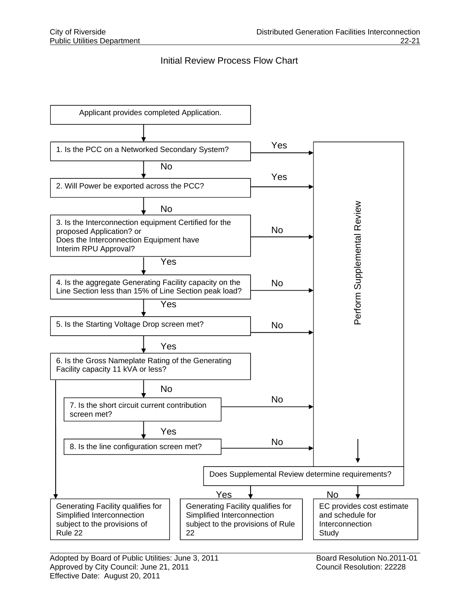### Initial Review Process Flow Chart

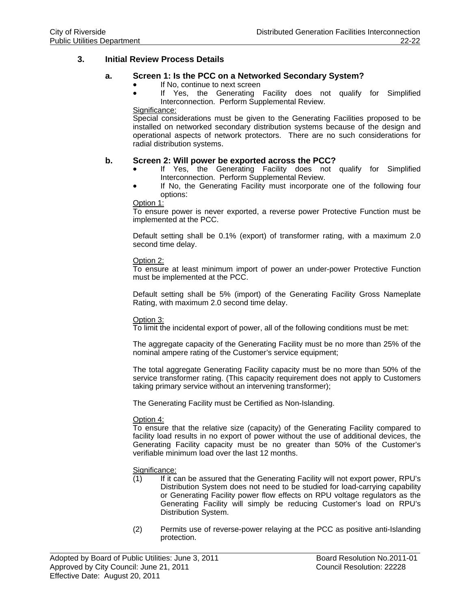#### **3. Initial Review Process Details**

# **a.** Screen 1: Is the PCC on a Networked Secondary System?<br>
If No, continue to next screen

- - If Yes, the Generating Facility does not qualify for Simplified Interconnection. Perform Supplemental Review.

Significance:

Special considerations must be given to the Generating Facilities proposed to be installed on networked secondary distribution systems because of the design and operational aspects of network protectors. There are no such considerations for radial distribution systems.

- **b.** Screen 2: Will power be exported across the PCC?<br>
If Yes, the Generating Facility does not qualify for Simplified Interconnection. Perform Supplemental Review.
	- If No, the Generating Facility must incorporate one of the following four options:

Option 1:

To ensure power is never exported, a reverse power Protective Function must be implemented at the PCC.

Default setting shall be 0.1% (export) of transformer rating, with a maximum 2.0 second time delay.

#### Option 2:

To ensure at least minimum import of power an under-power Protective Function must be implemented at the PCC.

Default setting shall be 5% (import) of the Generating Facility Gross Nameplate Rating, with maximum 2.0 second time delay.

#### Option 3:

To limit the incidental export of power, all of the following conditions must be met:

The aggregate capacity of the Generating Facility must be no more than 25% of the nominal ampere rating of the Customer's service equipment;

The total aggregate Generating Facility capacity must be no more than 50% of the service transformer rating. (This capacity requirement does not apply to Customers taking primary service without an intervening transformer);

The Generating Facility must be Certified as Non-Islanding.

#### Option 4:

To ensure that the relative size (capacity) of the Generating Facility compared to facility load results in no export of power without the use of additional devices, the Generating Facility capacity must be no greater than 50% of the Customer's verifiable minimum load over the last 12 months.

#### Significance:

- (1) If it can be assured that the Generating Facility will not export power, RPU's Distribution System does not need to be studied for load-carrying capability or Generating Facility power flow effects on RPU voltage regulators as the Generating Facility will simply be reducing Customer's load on RPU's Distribution System.
- (2) Permits use of reverse-power relaying at the PCC as positive anti-Islanding protection.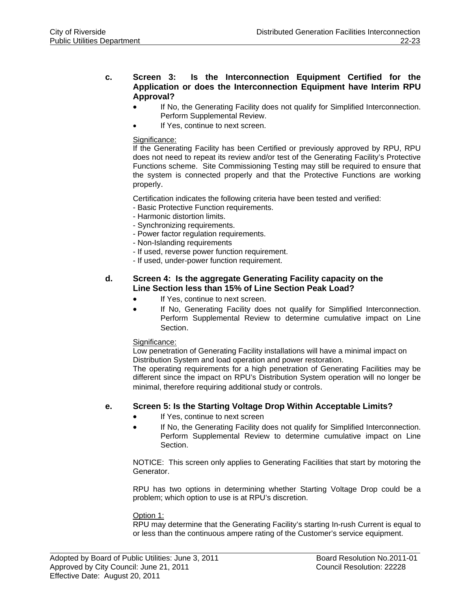#### **c. Screen 3: Is the Interconnection Equipment Certified for the Application or does the Interconnection Equipment have Interim RPU Approval?**

- If No, the Generating Facility does not qualify for Simplified Interconnection. Perform Supplemental Review.
- If Yes, continue to next screen.

#### Significance:

If the Generating Facility has been Certified or previously approved by RPU, RPU does not need to repeat its review and/or test of the Generating Facility's Protective Functions scheme. Site Commissioning Testing may still be required to ensure that the system is connected properly and that the Protective Functions are working properly.

Certification indicates the following criteria have been tested and verified:

- Basic Protective Function requirements.
- Harmonic distortion limits.
- Synchronizing requirements.
- Power factor regulation requirements.
- Non-Islanding requirements
- If used, reverse power function requirement.
- If used, under-power function requirement.

#### **d. Screen 4: Is the aggregate Generating Facility capacity on the Line Section less than 15% of Line Section Peak Load?**

- If Yes, continue to next screen.
- If No, Generating Facility does not qualify for Simplified Interconnection. Perform Supplemental Review to determine cumulative impact on Line Section.

#### Significance:

Low penetration of Generating Facility installations will have a minimal impact on Distribution System and load operation and power restoration.

The operating requirements for a high penetration of Generating Facilities may be different since the impact on RPU's Distribution System operation will no longer be minimal, therefore requiring additional study or controls.

#### **e. Screen 5: Is the Starting Voltage Drop Within Acceptable Limits?**

- If Yes, continue to next screen
- If No, the Generating Facility does not qualify for Simplified Interconnection. Perform Supplemental Review to determine cumulative impact on Line Section.

NOTICE: This screen only applies to Generating Facilities that start by motoring the Generator.

RPU has two options in determining whether Starting Voltage Drop could be a problem; which option to use is at RPU's discretion.

#### Option 1:

RPU may determine that the Generating Facility's starting In-rush Current is equal to or less than the continuous ampere rating of the Customer's service equipment.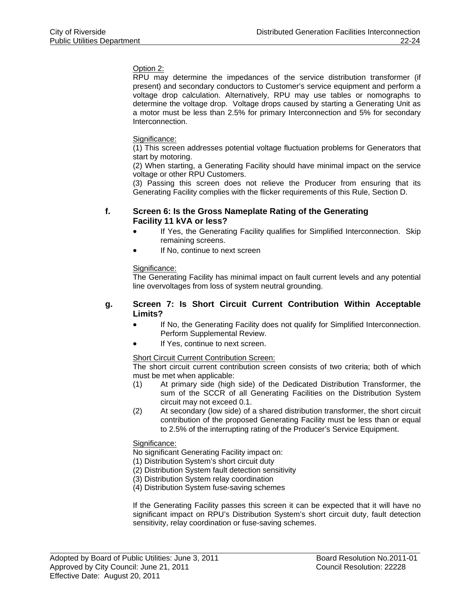#### Option 2:

RPU may determine the impedances of the service distribution transformer (if present) and secondary conductors to Customer's service equipment and perform a voltage drop calculation. Alternatively, RPU may use tables or nomographs to determine the voltage drop. Voltage drops caused by starting a Generating Unit as a motor must be less than 2.5% for primary Interconnection and 5% for secondary Interconnection.

#### Significance:

(1) This screen addresses potential voltage fluctuation problems for Generators that start by motoring.

(2) When starting, a Generating Facility should have minimal impact on the service voltage or other RPU Customers.

(3) Passing this screen does not relieve the Producer from ensuring that its Generating Facility complies with the flicker requirements of this Rule, Section D.

#### **f. Screen 6: Is the Gross Nameplate Rating of the Generating Facility 11 kVA or less?**

- If Yes, the Generating Facility qualifies for Simplified Interconnection. Skip remaining screens.
- If No. continue to next screen

#### Significance:

The Generating Facility has minimal impact on fault current levels and any potential line overvoltages from loss of system neutral grounding.

#### **g. Screen 7: Is Short Circuit Current Contribution Within Acceptable Limits?**

- If No, the Generating Facility does not qualify for Simplified Interconnection. Perform Supplemental Review.
- If Yes, continue to next screen.

#### **Short Circuit Current Contribution Screen:**

 The short circuit current contribution screen consists of two criteria; both of which must be met when applicable:

- (1) At primary side (high side) of the Dedicated Distribution Transformer, the sum of the SCCR of all Generating Facilities on the Distribution System circuit may not exceed 0.1.
- (2) At secondary (low side) of a shared distribution transformer, the short circuit contribution of the proposed Generating Facility must be less than or equal to 2.5% of the interrupting rating of the Producer's Service Equipment.

#### Significance:

No significant Generating Facility impact on:

- (1) Distribution System's short circuit duty
- (2) Distribution System fault detection sensitivity
- (3) Distribution System relay coordination
- (4) Distribution System fuse-saving schemes

If the Generating Facility passes this screen it can be expected that it will have no significant impact on RPU's Distribution System's short circuit duty, fault detection sensitivity, relay coordination or fuse-saving schemes.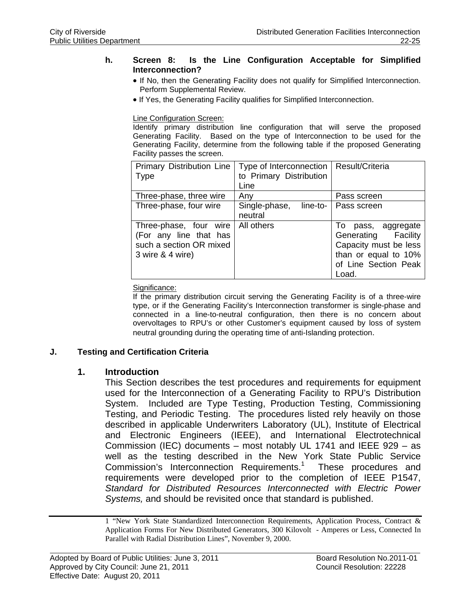#### **h. Screen 8: Is the Line Configuration Acceptable for Simplified Interconnection?**

- If No, then the Generating Facility does not qualify for Simplified Interconnection. Perform Supplemental Review.
- If Yes, the Generating Facility qualifies for Simplified Interconnection.

#### Line Configuration Screen:

 Identify primary distribution line configuration that will serve the proposed Generating Facility. Based on the type of Interconnection to be used for the Generating Facility, determine from the following table if the proposed Generating Facility passes the screen.

| <b>Primary Distribution Line</b><br><b>Type</b>                                                 | Type of Interconnection<br>to Primary Distribution<br>Line | Result/Criteria                                                                                                                 |  |
|-------------------------------------------------------------------------------------------------|------------------------------------------------------------|---------------------------------------------------------------------------------------------------------------------------------|--|
| Three-phase, three wire                                                                         | Any                                                        | Pass screen                                                                                                                     |  |
| Three-phase, four wire                                                                          | Single-phase,<br>line-to-<br>neutral                       | Pass screen                                                                                                                     |  |
| Three-phase, four wire<br>(For any line that has<br>such a section OR mixed<br>3 wire & 4 wire) | All others                                                 | pass, aggregate<br>To:<br>Generating Facility<br>Capacity must be less<br>than or equal to 10%<br>of Line Section Peak<br>Load. |  |

Significance:

If the primary distribution circuit serving the Generating Facility is of a three-wire type, or if the Generating Facility's Interconnection transformer is single-phase and connected in a line-to-neutral configuration, then there is no concern about overvoltages to RPU's or other Customer's equipment caused by loss of system neutral grounding during the operating time of anti-Islanding protection.

### **J. Testing and Certification Criteria**

### **1. Introduction**

This Section describes the test procedures and requirements for equipment used for the Interconnection of a Generating Facility to RPU's Distribution System. Included are Type Testing, Production Testing, Commissioning Testing, and Periodic Testing. The procedures listed rely heavily on those described in applicable Underwriters Laboratory (UL), Institute of Electrical and Electronic Engineers (IEEE), and International Electrotechnical Commission (IEC) documents – most notably UL 1741 and IEEE 929 – as well as the testing described in the New York State Public Service Commission's Interconnection Requirements.1 These procedures and requirements were developed prior to the completion of IEEE P1547, *Standard for Distributed Resources Interconnected with Electric Power Systems,* and should be revisited once that standard is published.

1 "New York State Standardized Interconnection Requirements, Application Process, Contract & Application Forms For New Distributed Generators, 300 Kilovolt - Amperes or Less, Connected In Parallel with Radial Distribution Lines", November 9, 2000.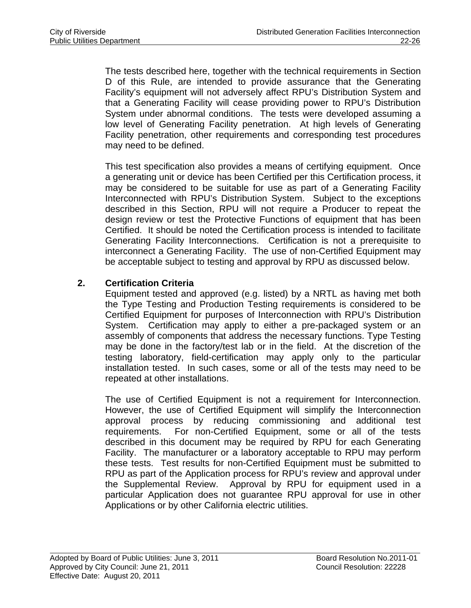The tests described here, together with the technical requirements in Section D of this Rule, are intended to provide assurance that the Generating Facility's equipment will not adversely affect RPU's Distribution System and that a Generating Facility will cease providing power to RPU's Distribution System under abnormal conditions. The tests were developed assuming a low level of Generating Facility penetration. At high levels of Generating Facility penetration, other requirements and corresponding test procedures may need to be defined.

This test specification also provides a means of certifying equipment. Once a generating unit or device has been Certified per this Certification process, it may be considered to be suitable for use as part of a Generating Facility Interconnected with RPU's Distribution System. Subject to the exceptions described in this Section, RPU will not require a Producer to repeat the design review or test the Protective Functions of equipment that has been Certified. It should be noted the Certification process is intended to facilitate Generating Facility Interconnections. Certification is not a prerequisite to interconnect a Generating Facility. The use of non-Certified Equipment may be acceptable subject to testing and approval by RPU as discussed below.

### **2. Certification Criteria**

Equipment tested and approved (e.g. listed) by a NRTL as having met both the Type Testing and Production Testing requirements is considered to be Certified Equipment for purposes of Interconnection with RPU's Distribution System. Certification may apply to either a pre-packaged system or an assembly of components that address the necessary functions. Type Testing may be done in the factory/test lab or in the field. At the discretion of the testing laboratory, field-certification may apply only to the particular installation tested. In such cases, some or all of the tests may need to be repeated at other installations.

The use of Certified Equipment is not a requirement for Interconnection. However, the use of Certified Equipment will simplify the Interconnection approval process by reducing commissioning and additional test requirements. For non-Certified Equipment, some or all of the tests described in this document may be required by RPU for each Generating Facility. The manufacturer or a laboratory acceptable to RPU may perform these tests. Test results for non-Certified Equipment must be submitted to RPU as part of the Application process for RPU's review and approval under the Supplemental Review. Approval by RPU for equipment used in a particular Application does not guarantee RPU approval for use in other Applications or by other California electric utilities.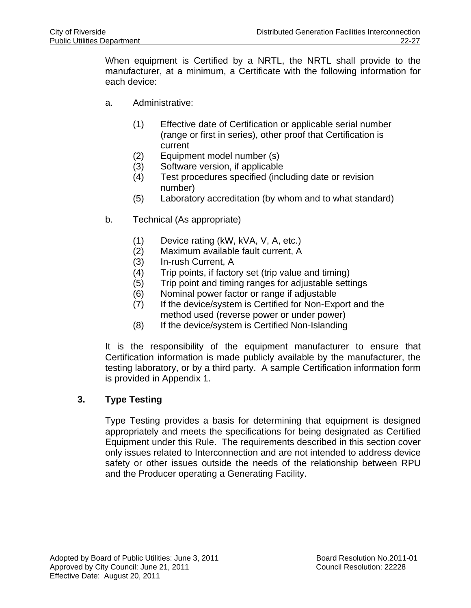When equipment is Certified by a NRTL, the NRTL shall provide to the manufacturer, at a minimum, a Certificate with the following information for each device:

- a. Administrative:
	- (1) Effective date of Certification or applicable serial number (range or first in series), other proof that Certification is current
	- (2) Equipment model number (s)
	- (3) Software version, if applicable
	- (4) Test procedures specified (including date or revision number)
	- (5) Laboratory accreditation (by whom and to what standard)
- b. Technical (As appropriate)
	- (1) Device rating (kW, kVA, V, A, etc.)
	- (2) Maximum available fault current, A
	- (3) In-rush Current, A
	- (4) Trip points, if factory set (trip value and timing)
	- (5) Trip point and timing ranges for adjustable settings
	- (6) Nominal power factor or range if adjustable
	- $(7)$  If the device/system is Certified for Non-Export and the method used (reverse power or under power)
	- (8) If the device/system is Certified Non-Islanding

It is the responsibility of the equipment manufacturer to ensure that Certification information is made publicly available by the manufacturer, the testing laboratory, or by a third party. A sample Certification information form is provided in Appendix 1.

### **3. Type Testing**

Type Testing provides a basis for determining that equipment is designed appropriately and meets the specifications for being designated as Certified Equipment under this Rule. The requirements described in this section cover only issues related to Interconnection and are not intended to address device safety or other issues outside the needs of the relationship between RPU and the Producer operating a Generating Facility.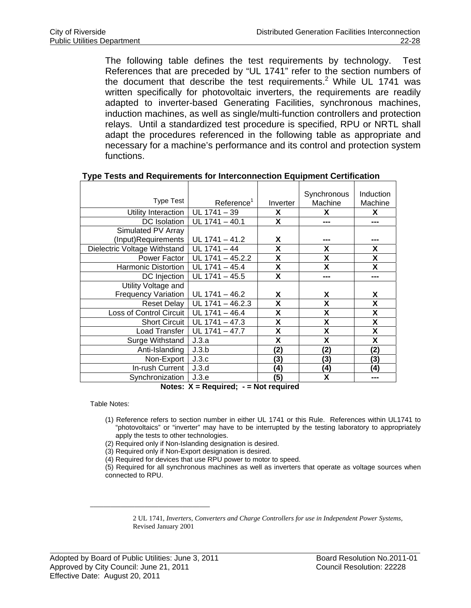The following table defines the test requirements by technology. Test References that are preceded by "UL 1741" refer to the section numbers of the document that describe the test requirements. $2$  While UL 1741 was written specifically for photovoltaic inverters, the requirements are readily adapted to inverter-based Generating Facilities, synchronous machines, induction machines, as well as single/multi-function controllers and protection relays. Until a standardized test procedure is specified, RPU or NRTL shall adapt the procedures referenced in the following table as appropriate and necessary for a machine's performance and its control and protection system functions.

|                                          |                        |          | Synchronous | Induction |
|------------------------------------------|------------------------|----------|-------------|-----------|
| Type Test                                | Reference <sup>1</sup> | Inverter | Machine     | Machine   |
| Utility Interaction   UL 1741 - 39       |                        | X        | X           | X         |
| DC Isolation                             | $UL 1741 - 40.1$       | X        | ---         | ---       |
| Simulated PV Array                       |                        |          |             |           |
| (Input)Requirements                      | $UL 1741 - 41.2$       | X        | ---         | ---       |
| Dielectric Voltage Withstand             | $UL 1741 - 44$         | X        | X           | X         |
| Power Factor                             | UL 1741 - 45.2.2       | X        | X           | X         |
| Harmonic Distortion                      | $UL 1741 - 45.4$       | X        | X           | X         |
| DC Injection                             | $UL 1741 - 45.5$       | X        |             |           |
| Utility Voltage and                      |                        |          |             |           |
| Frequency Variation   UL 1741 - 46.2     |                        | X        | X           | X         |
| Reset Delay                              | $UL 1741 - 46.2.3$     | X        | X           | X         |
| Loss of Control Circuit   UL 1741 - 46.4 |                        | X        | X           | X         |
| Short Circuit                            | $UL 1741 - 47.3$       | X        | X           | X         |
| Load Transfer                            | UL 1741 - 47.7         | X        | X           | X         |
| Surge Withstand                          | J.3.a                  | X        | X           | X         |
| Anti-Islanding                           | J.3.b                  | (2)      | (2)         | (2)       |
| Non-Export                               | J.3.c                  | (3)      | (3)         | (3)       |
| In-rush Current                          | J.3.d                  | (4)      | (4)         | (4)       |
| Synchronization                          | J.3.e                  | (5)      | χ           |           |

#### **Type Tests and Requirements for Interconnection Equipment Certification**

**Notes: X = Required; - = Not required** 

Table Notes:

- (1) Reference refers to section number in either UL 1741 or this Rule. References within UL1741 to "photovoltaics" or "inverter" may have to be interrupted by the testing laboratory to appropriately apply the tests to other technologies.
- (2) Required only if Non-Islanding designation is desired.
- (3) Required only if Non-Export designation is desired.
- (4) Required for devices that use RPU power to motor to speed.

 (5) Required for all synchronous machines as well as inverters that operate as voltage sources when connected to RPU.

2 UL 1741, *Inverters, Converters and Charge Controllers for use in Independent Power Systems,* Revised January 2001

\_\_\_\_\_\_\_\_\_\_\_\_\_\_\_\_\_\_\_\_\_\_\_\_\_\_\_\_\_\_\_\_\_\_\_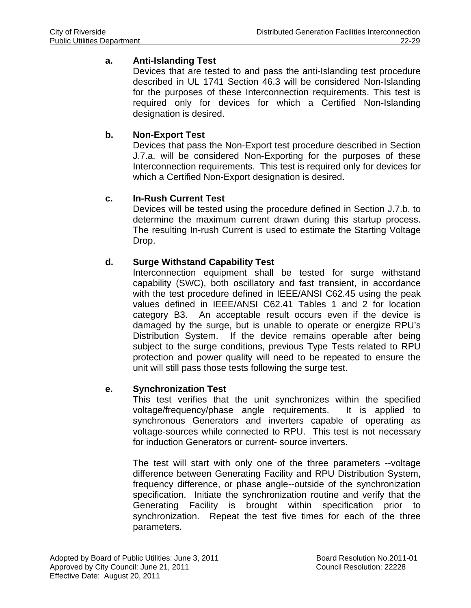### **a. Anti-Islanding Test**

Devices that are tested to and pass the anti-Islanding test procedure described in UL 1741 Section 46.3 will be considered Non-Islanding for the purposes of these Interconnection requirements. This test is required only for devices for which a Certified Non-Islanding designation is desired.

### **b. Non-Export Test**

Devices that pass the Non-Export test procedure described in Section J.7.a. will be considered Non-Exporting for the purposes of these Interconnection requirements. This test is required only for devices for which a Certified Non-Export designation is desired.

### **c. In-Rush Current Test**

Devices will be tested using the procedure defined in Section J.7.b. to determine the maximum current drawn during this startup process. The resulting In-rush Current is used to estimate the Starting Voltage Drop.

### **d. Surge Withstand Capability Test**

Interconnection equipment shall be tested for surge withstand capability (SWC), both oscillatory and fast transient, in accordance with the test procedure defined in IEEE/ANSI C62.45 using the peak values defined in IEEE/ANSI C62.41 Tables 1 and 2 for location category B3. An acceptable result occurs even if the device is damaged by the surge, but is unable to operate or energize RPU's Distribution System. If the device remains operable after being subject to the surge conditions, previous Type Tests related to RPU protection and power quality will need to be repeated to ensure the unit will still pass those tests following the surge test.

### **e. Synchronization Test**

This test verifies that the unit synchronizes within the specified voltage/frequency/phase angle requirements. It is applied to synchronous Generators and inverters capable of operating as voltage-sources while connected to RPU. This test is not necessary for induction Generators or current- source inverters.

The test will start with only one of the three parameters --voltage difference between Generating Facility and RPU Distribution System, frequency difference, or phase angle--outside of the synchronization specification. Initiate the synchronization routine and verify that the Generating Facility is brought within specification prior to synchronization. Repeat the test five times for each of the three parameters.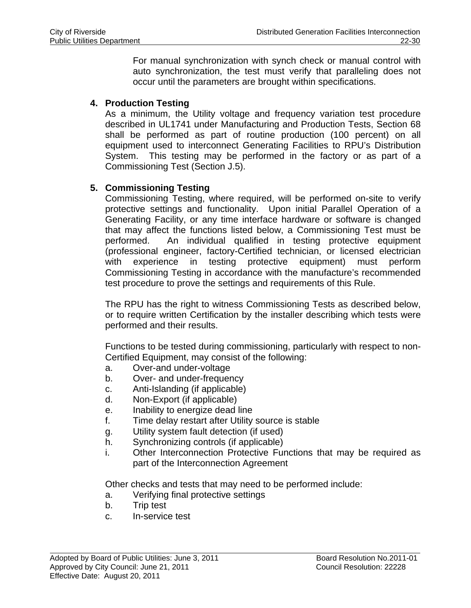For manual synchronization with synch check or manual control with auto synchronization, the test must verify that paralleling does not occur until the parameters are brought within specifications.

### **4. Production Testing**

As a minimum, the Utility voltage and frequency variation test procedure described in UL1741 under Manufacturing and Production Tests, Section 68 shall be performed as part of routine production (100 percent) on all equipment used to interconnect Generating Facilities to RPU's Distribution System. This testing may be performed in the factory or as part of a Commissioning Test (Section J.5).

### **5. Commissioning Testing**

Commissioning Testing, where required, will be performed on-site to verify protective settings and functionality. Upon initial Parallel Operation of a Generating Facility, or any time interface hardware or software is changed that may affect the functions listed below, a Commissioning Test must be performed. An individual qualified in testing protective equipment (professional engineer, factory-Certified technician, or licensed electrician with experience in testing protective equipment) must perform Commissioning Testing in accordance with the manufacture's recommended test procedure to prove the settings and requirements of this Rule.

The RPU has the right to witness Commissioning Tests as described below, or to require written Certification by the installer describing which tests were performed and their results.

Functions to be tested during commissioning, particularly with respect to non-Certified Equipment, may consist of the following:

- a. Over-and under-voltage
- b. Over- and under-frequency
- c. Anti-Islanding (if applicable)
- d. Non-Export (if applicable)
- e. Inability to energize dead line
- f. Time delay restart after Utility source is stable
- g. Utility system fault detection (if used)
- h. Synchronizing controls (if applicable)
- i. Other Interconnection Protective Functions that may be required as part of the Interconnection Agreement

Other checks and tests that may need to be performed include:

- a. Verifying final protective settings
- b. Trip test
- c. In-service test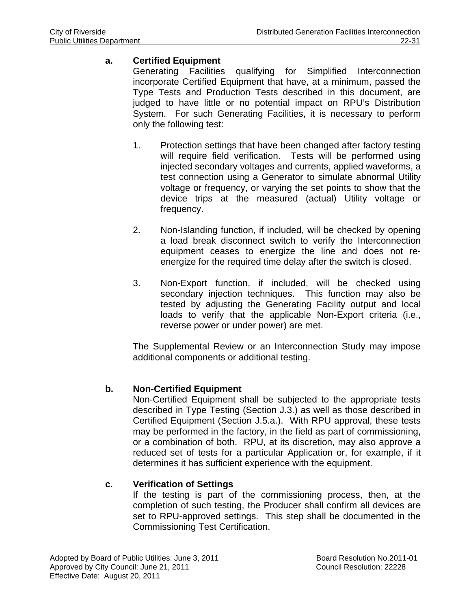### **a. Certified Equipment**

 Generating Facilities qualifying for Simplified Interconnection incorporate Certified Equipment that have, at a minimum, passed the Type Tests and Production Tests described in this document, are judged to have little or no potential impact on RPU's Distribution System. For such Generating Facilities, it is necessary to perform only the following test:

- 1. Protection settings that have been changed after factory testing will require field verification. Tests will be performed using injected secondary voltages and currents, applied waveforms, a test connection using a Generator to simulate abnormal Utility voltage or frequency, or varying the set points to show that the device trips at the measured (actual) Utility voltage or frequency.
- 2. Non-Islanding function, if included, will be checked by opening a load break disconnect switch to verify the Interconnection equipment ceases to energize the line and does not reenergize for the required time delay after the switch is closed.
- 3. Non-Export function, if included, will be checked using secondary injection techniques. This function may also be tested by adjusting the Generating Facility output and local loads to verify that the applicable Non-Export criteria (i.e., reverse power or under power) are met.

The Supplemental Review or an Interconnection Study may impose additional components or additional testing.

### **b. Non-Certified Equipment**

Non-Certified Equipment shall be subjected to the appropriate tests described in Type Testing (Section J.3.) as well as those described in Certified Equipment (Section J.5.a.). With RPU approval, these tests may be performed in the factory, in the field as part of commissioning, or a combination of both. RPU, at its discretion, may also approve a reduced set of tests for a particular Application or, for example, if it determines it has sufficient experience with the equipment.

### **c. Verification of Settings**

If the testing is part of the commissioning process, then, at the completion of such testing, the Producer shall confirm all devices are set to RPU-approved settings. This step shall be documented in the Commissioning Test Certification.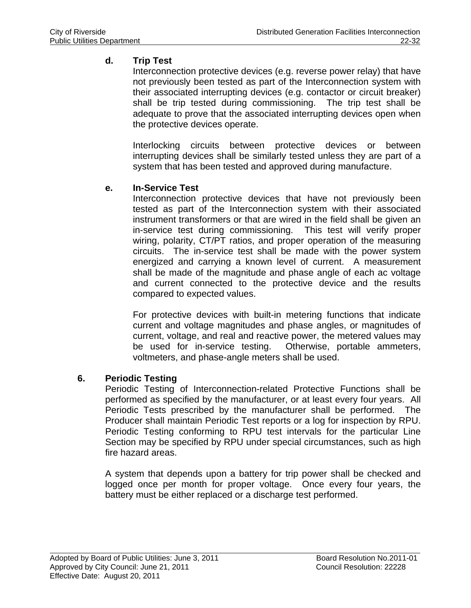### **d. Trip Test**

Interconnection protective devices (e.g. reverse power relay) that have not previously been tested as part of the Interconnection system with their associated interrupting devices (e.g. contactor or circuit breaker) shall be trip tested during commissioning. The trip test shall be adequate to prove that the associated interrupting devices open when the protective devices operate.

Interlocking circuits between protective devices or between interrupting devices shall be similarly tested unless they are part of a system that has been tested and approved during manufacture.

### **e. In-Service Test**

Interconnection protective devices that have not previously been tested as part of the Interconnection system with their associated instrument transformers or that are wired in the field shall be given an in-service test during commissioning. This test will verify proper wiring, polarity, CT/PT ratios, and proper operation of the measuring circuits. The in-service test shall be made with the power system energized and carrying a known level of current. A measurement shall be made of the magnitude and phase angle of each ac voltage and current connected to the protective device and the results compared to expected values.

For protective devices with built-in metering functions that indicate current and voltage magnitudes and phase angles, or magnitudes of current, voltage, and real and reactive power, the metered values may be used for in-service testing. Otherwise, portable ammeters, voltmeters, and phase-angle meters shall be used.

### **6. Periodic Testing**

Periodic Testing of Interconnection-related Protective Functions shall be performed as specified by the manufacturer, or at least every four years. All Periodic Tests prescribed by the manufacturer shall be performed. The Producer shall maintain Periodic Test reports or a log for inspection by RPU. Periodic Testing conforming to RPU test intervals for the particular Line Section may be specified by RPU under special circumstances, such as high fire hazard areas.

A system that depends upon a battery for trip power shall be checked and logged once per month for proper voltage. Once every four years, the battery must be either replaced or a discharge test performed.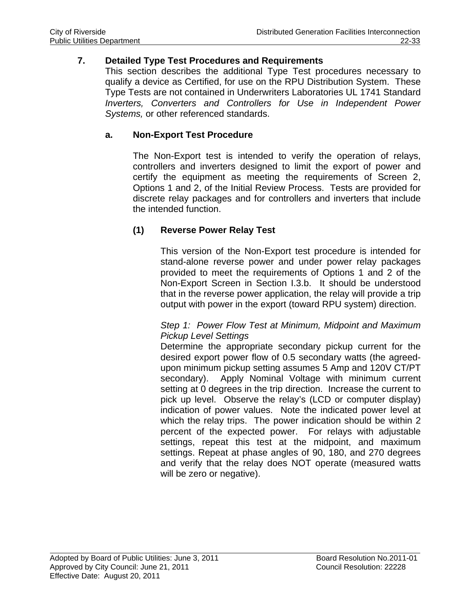### **7. Detailed Type Test Procedures and Requirements**

This section describes the additional Type Test procedures necessary to qualify a device as Certified, for use on the RPU Distribution System. These Type Tests are not contained in Underwriters Laboratories UL 1741 Standard *Inverters, Converters and Controllers for Use in Independent Power Systems,* or other referenced standards.

### **a. Non-Export Test Procedure**

The Non-Export test is intended to verify the operation of relays, controllers and inverters designed to limit the export of power and certify the equipment as meeting the requirements of Screen 2, Options 1 and 2, of the Initial Review Process. Tests are provided for discrete relay packages and for controllers and inverters that include the intended function.

### **(1) Reverse Power Relay Test**

This version of the Non-Export test procedure is intended for stand-alone reverse power and under power relay packages provided to meet the requirements of Options 1 and 2 of the Non-Export Screen in Section I.3.b. It should be understood that in the reverse power application, the relay will provide a trip output with power in the export (toward RPU system) direction.

### *Step 1: Power Flow Test at Minimum, Midpoint and Maximum Pickup Level Settings*

Determine the appropriate secondary pickup current for the desired export power flow of 0.5 secondary watts (the agreedupon minimum pickup setting assumes 5 Amp and 120V CT/PT secondary). Apply Nominal Voltage with minimum current setting at 0 degrees in the trip direction. Increase the current to pick up level. Observe the relay's (LCD or computer display) indication of power values. Note the indicated power level at which the relay trips. The power indication should be within 2 percent of the expected power. For relays with adjustable settings, repeat this test at the midpoint, and maximum settings. Repeat at phase angles of 90, 180, and 270 degrees and verify that the relay does NOT operate (measured watts will be zero or negative).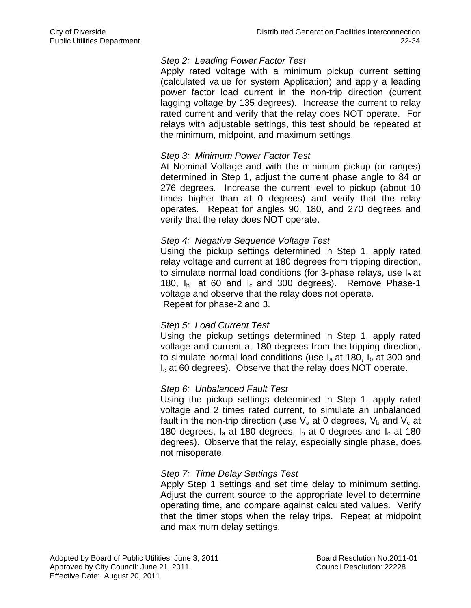### *Step 2: Leading Power Factor Test*

Apply rated voltage with a minimum pickup current setting (calculated value for system Application) and apply a leading power factor load current in the non-trip direction (current lagging voltage by 135 degrees). Increase the current to relay rated current and verify that the relay does NOT operate. For relays with adjustable settings, this test should be repeated at the minimum, midpoint, and maximum settings.

### *Step 3: Minimum Power Factor Test*

At Nominal Voltage and with the minimum pickup (or ranges) determined in Step 1, adjust the current phase angle to 84 or 276 degrees. Increase the current level to pickup (about 10 times higher than at 0 degrees) and verify that the relay operates. Repeat for angles 90, 180, and 270 degrees and verify that the relay does NOT operate.

### *Step 4: Negative Sequence Voltage Test*

Using the pickup settings determined in Step 1, apply rated relay voltage and current at 180 degrees from tripping direction, to simulate normal load conditions (for 3-phase relays, use  $I_a$  at 180,  $I_b$  at 60 and  $I_c$  and 300 degrees). Remove Phase-1 voltage and observe that the relay does not operate. Repeat for phase-2 and 3.

### *Step 5: Load Current Test*

Using the pickup settings determined in Step 1, apply rated voltage and current at 180 degrees from the tripping direction, to simulate normal load conditions (use  $I_a$  at 180,  $I_b$  at 300 and I<sub>c</sub> at 60 degrees). Observe that the relay does NOT operate.

### *Step 6: Unbalanced Fault Test*

Using the pickup settings determined in Step 1, apply rated voltage and 2 times rated current, to simulate an unbalanced fault in the non-trip direction (use  $V_a$  at 0 degrees,  $V_b$  and  $V_c$  at 180 degrees,  $I_a$  at 180 degrees,  $I_b$  at 0 degrees and  $I_c$  at 180 degrees). Observe that the relay, especially single phase, does not misoperate.

### *Step 7: Time Delay Settings Test*

Apply Step 1 settings and set time delay to minimum setting. Adjust the current source to the appropriate level to determine operating time, and compare against calculated values. Verify that the timer stops when the relay trips. Repeat at midpoint and maximum delay settings.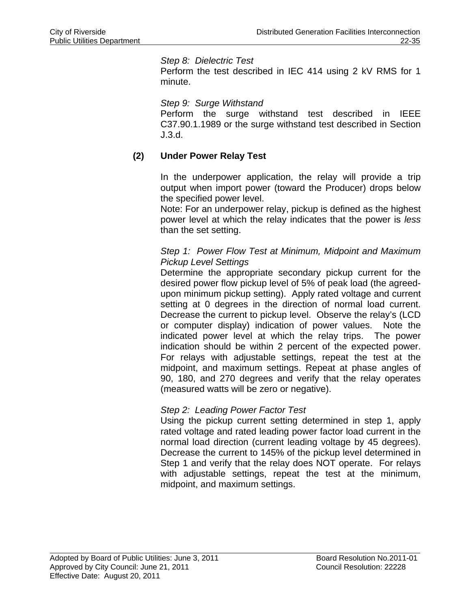### *Step 8: Dielectric Test*

Perform the test described in IEC 414 using 2 kV RMS for 1 minute.

*Step 9: Surge Withstand* 

Perform the surge withstand test described in IEEE C37.90.1.1989 or the surge withstand test described in Section J.3.d.

### **(2) Under Power Relay Test**

In the underpower application, the relay will provide a trip output when import power (toward the Producer) drops below the specified power level.

Note: For an underpower relay, pickup is defined as the highest power level at which the relay indicates that the power is *less* than the set setting.

### *Step 1: Power Flow Test at Minimum, Midpoint and Maximum Pickup Level Settings*

Determine the appropriate secondary pickup current for the desired power flow pickup level of 5% of peak load (the agreedupon minimum pickup setting). Apply rated voltage and current setting at 0 degrees in the direction of normal load current. Decrease the current to pickup level. Observe the relay's (LCD or computer display) indication of power values. Note the indicated power level at which the relay trips. The power indication should be within 2 percent of the expected power. For relays with adjustable settings, repeat the test at the midpoint, and maximum settings. Repeat at phase angles of 90, 180, and 270 degrees and verify that the relay operates (measured watts will be zero or negative).

### *Step 2: Leading Power Factor Test*

Using the pickup current setting determined in step 1, apply rated voltage and rated leading power factor load current in the normal load direction (current leading voltage by 45 degrees). Decrease the current to 145% of the pickup level determined in Step 1 and verify that the relay does NOT operate. For relays with adjustable settings, repeat the test at the minimum, midpoint, and maximum settings.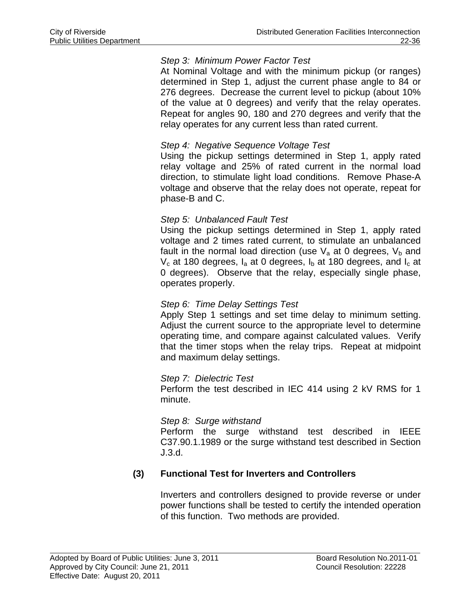### *Step 3: Minimum Power Factor Test*

At Nominal Voltage and with the minimum pickup (or ranges) determined in Step 1, adjust the current phase angle to 84 or 276 degrees. Decrease the current level to pickup (about 10% of the value at 0 degrees) and verify that the relay operates. Repeat for angles 90, 180 and 270 degrees and verify that the relay operates for any current less than rated current.

### *Step 4: Negative Sequence Voltage Test*

Using the pickup settings determined in Step 1, apply rated relay voltage and 25% of rated current in the normal load direction, to stimulate light load conditions. Remove Phase-A voltage and observe that the relay does not operate, repeat for phase-B and C.

### *Step 5: Unbalanced Fault Test*

Using the pickup settings determined in Step 1, apply rated voltage and 2 times rated current, to stimulate an unbalanced fault in the normal load direction (use  $V_a$  at 0 degrees,  $V_b$  and  $V_c$  at 180 degrees,  $I_a$  at 0 degrees,  $I_b$  at 180 degrees, and  $I_c$  at 0 degrees). Observe that the relay, especially single phase, operates properly.

### *Step 6: Time Delay Settings Test*

Apply Step 1 settings and set time delay to minimum setting. Adjust the current source to the appropriate level to determine operating time, and compare against calculated values. Verify that the timer stops when the relay trips. Repeat at midpoint and maximum delay settings.

### *Step 7: Dielectric Test*

Perform the test described in IEC 414 using 2 kV RMS for 1 minute.

*Step 8: Surge withstand*  Perform the surge withstand test described in IEEE C37.90.1.1989 or the surge withstand test described in Section J.3.d.

### **(3) Functional Test for Inverters and Controllers**

Inverters and controllers designed to provide reverse or under power functions shall be tested to certify the intended operation of this function. Two methods are provided.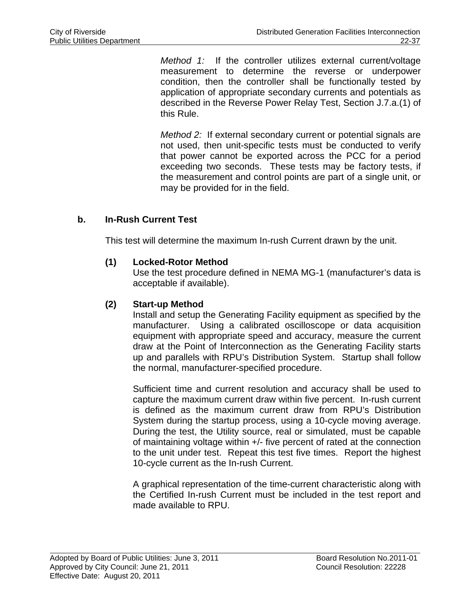*Method 1:* If the controller utilizes external current/voltage measurement to determine the reverse or underpower condition, then the controller shall be functionally tested by application of appropriate secondary currents and potentials as described in the Reverse Power Relay Test, Section J.7.a.(1) of this Rule.

*Method 2:* If external secondary current or potential signals are not used, then unit-specific tests must be conducted to verify that power cannot be exported across the PCC for a period exceeding two seconds. These tests may be factory tests, if the measurement and control points are part of a single unit, or may be provided for in the field.

### **b. In-Rush Current Test**

This test will determine the maximum In-rush Current drawn by the unit.

### **(1) Locked-Rotor Method**

Use the test procedure defined in NEMA MG-1 (manufacturer's data is acceptable if available).

### **(2) Start-up Method**

Install and setup the Generating Facility equipment as specified by the manufacturer. Using a calibrated oscilloscope or data acquisition equipment with appropriate speed and accuracy, measure the current draw at the Point of Interconnection as the Generating Facility starts up and parallels with RPU's Distribution System. Startup shall follow the normal, manufacturer-specified procedure.

Sufficient time and current resolution and accuracy shall be used to capture the maximum current draw within five percent. In-rush current is defined as the maximum current draw from RPU's Distribution System during the startup process, using a 10-cycle moving average. During the test, the Utility source, real or simulated, must be capable of maintaining voltage within +/- five percent of rated at the connection to the unit under test. Repeat this test five times. Report the highest 10-cycle current as the In-rush Current.

A graphical representation of the time-current characteristic along with the Certified In-rush Current must be included in the test report and made available to RPU.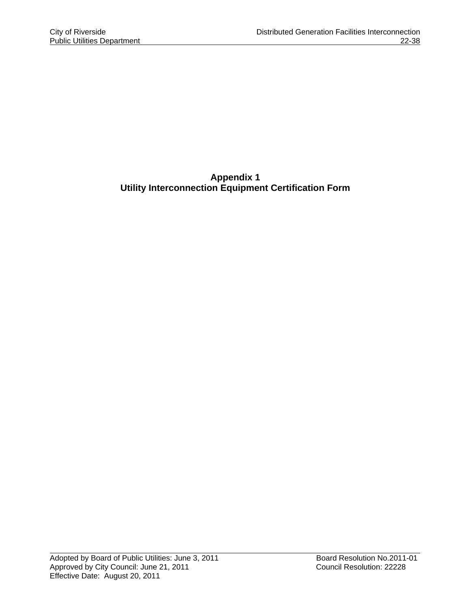### **Appendix 1 Utility Interconnection Equipment Certification Form**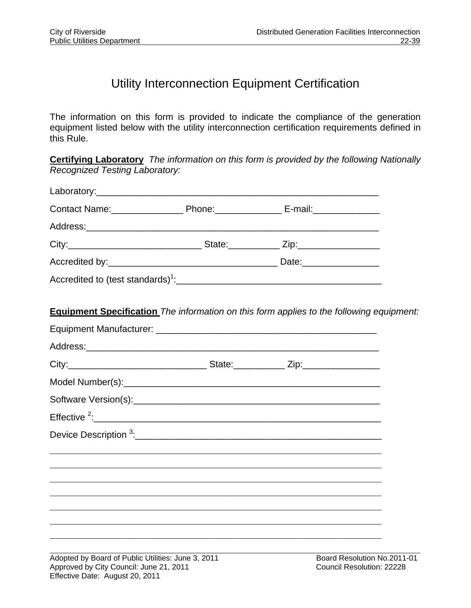# Utility Interconnection Equipment Certification

The information on this form is provided to indicate the compliance of the generation equipment listed below with the utility interconnection certification requirements defined in this Rule.

**Certifying Laboratory** *The information on this form is provided by the following Nationally Recognized Testing Laboratory:* 

| <b>Equipment Specification</b> The information on this form applies to the following equipment: |  |
|-------------------------------------------------------------------------------------------------|--|
|                                                                                                 |  |
|                                                                                                 |  |
|                                                                                                 |  |
|                                                                                                 |  |
|                                                                                                 |  |
| Effective $2$ :                                                                                 |  |
|                                                                                                 |  |
|                                                                                                 |  |
|                                                                                                 |  |
|                                                                                                 |  |
|                                                                                                 |  |
|                                                                                                 |  |
|                                                                                                 |  |
|                                                                                                 |  |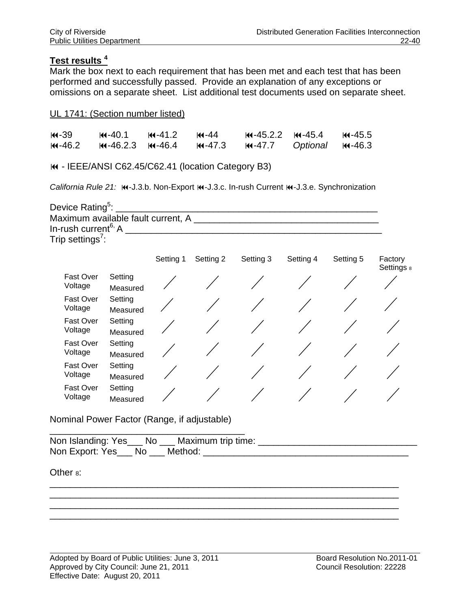### **Test results <sup>4</sup>**

Mark the box next to each requirement that has been met and each test that has been performed and successfully passed. Provide an explanation of any exceptions or omissions on a separate sheet. List additional test documents used on separate sheet.

| UL 1741: (Section number listed) |
|----------------------------------|
|----------------------------------|

| <b>K4-39</b>   | $14 - 40.1$ $14 - 41.2$ $14 - 44$ |                                              | $14 - 45.2.2$ $14 - 45.4$ $14 - 45.5$ |  |
|----------------|-----------------------------------|----------------------------------------------|---------------------------------------|--|
| <b>KI-46.2</b> |                                   | <b>141-46.2.3 141-46.4 141-47.3 141-47.7</b> | Optional <b>K4-46.3</b>               |  |

- IEEE/ANSI C62.45/C62.41 (location Category B3)

California Rule 21: **N**4-J.3.b. Non-Export N4-J.3.c. In-rush Current N4-J.3.e. Synchronization

| Device Rating <sup>5</sup> :       |  |
|------------------------------------|--|
| Maximum available fault current, A |  |
| In-rush current <sup>6,</sup> A    |  |
| Trip settings <sup>7</sup> :       |  |

|                             |                     | Setting 1 | Setting 2 | Setting 3 | Setting 4 | Setting 5 | Factory<br>Settings 8 |
|-----------------------------|---------------------|-----------|-----------|-----------|-----------|-----------|-----------------------|
| <b>Fast Over</b><br>Voltage | Setting<br>Measured |           |           |           |           |           |                       |
| Fast Over<br>Voltage        | Setting<br>Measured |           |           |           |           |           |                       |
| <b>Fast Over</b><br>Voltage | Setting<br>Measured |           |           |           |           |           |                       |
| Fast Over<br>Voltage        | Setting<br>Measured |           |           |           |           |           |                       |
| Fast Over<br>Voltage        | Setting<br>Measured |           |           |           |           |           |                       |
| Fast Over<br>Voltage        | Setting<br>Measured |           |           |           |           |           |                       |

\_\_\_\_\_\_\_\_\_\_\_\_\_\_\_\_\_\_\_\_\_\_\_\_\_\_\_\_\_\_\_\_\_\_\_\_\_\_\_\_\_\_\_\_\_\_\_\_\_\_\_\_\_\_\_\_\_\_\_\_\_\_\_\_\_\_\_\_

 $\overline{\phantom{a}}$  ,  $\overline{\phantom{a}}$  ,  $\overline{\phantom{a}}$  ,  $\overline{\phantom{a}}$  ,  $\overline{\phantom{a}}$  ,  $\overline{\phantom{a}}$  ,  $\overline{\phantom{a}}$  ,  $\overline{\phantom{a}}$  ,  $\overline{\phantom{a}}$  ,  $\overline{\phantom{a}}$  ,  $\overline{\phantom{a}}$  ,  $\overline{\phantom{a}}$  ,  $\overline{\phantom{a}}$  ,  $\overline{\phantom{a}}$  ,  $\overline{\phantom{a}}$  ,  $\overline{\phantom{a}}$ \_\_\_\_\_\_\_\_\_\_\_\_\_\_\_\_\_\_\_\_\_\_\_\_\_\_\_\_\_\_\_\_\_\_\_\_\_\_\_\_\_\_\_\_\_\_\_\_\_\_\_\_\_\_\_\_\_\_\_\_\_\_\_\_\_\_\_\_

Nominal Power Factor (Range, if adjustable)

\_\_\_\_\_\_\_\_\_\_\_\_\_\_\_\_\_\_\_\_\_\_\_\_\_\_\_\_\_\_\_\_\_\_\_\_\_\_

Non Islanding: Yes\_\_\_ No \_\_\_ Maximum trip time: \_\_\_\_\_\_\_\_\_\_\_\_\_\_\_\_\_\_\_\_\_\_\_\_\_\_\_\_\_\_\_\_ Non Export: Yes\_\_\_ No \_\_\_ Method: \_\_\_\_\_\_\_\_\_\_\_\_\_\_\_\_\_\_\_\_\_\_\_\_\_\_\_\_\_\_\_\_\_\_\_\_\_\_\_\_

Other  $\boldsymbol{\mathrm{s}}$ :

 $\overline{\phantom{a}}$